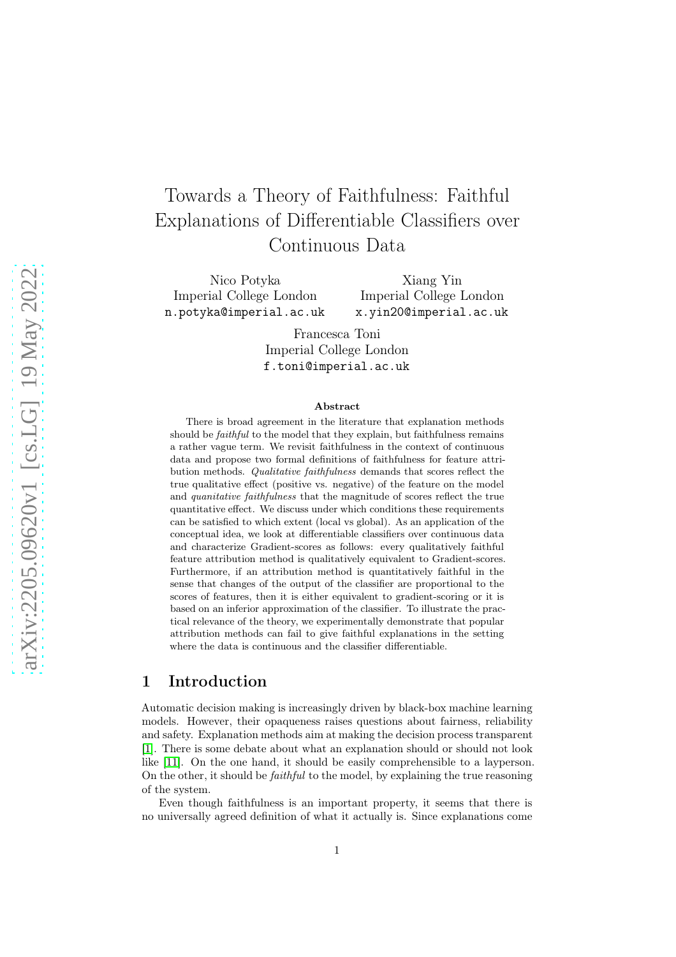# Towards a Theory of Faithfulness: Faithful Explanations of Differentiable Classifiers over Continuous Data

Nico Potyka Imperial College London n.potyka@imperial.ac.uk

Xiang Yin Imperial College London x.yin20@imperial.ac.uk

Francesca Toni Imperial College London f.toni@imperial.ac.uk

#### Abstract

There is broad agreement in the literature that explanation methods should be *faithful* to the model that they explain, but faithfulness remains a rather vague term. We revisit faithfulness in the context of continuous data and propose two formal definitions of faithfulness for feature attribution methods. Qualitative faithfulness demands that scores reflect the true qualitative effect (positive vs. negative) of the feature on the model and quanitative faithfulness that the magnitude of scores reflect the true quantitative effect. We discuss under which conditions these requirements can be satisfied to which extent (local vs global). As an application of the conceptual idea, we look at differentiable classifiers over continuous data and characterize Gradient-scores as follows: every qualitatively faithful feature attribution method is qualitatively equivalent to Gradient-scores. Furthermore, if an attribution method is quantitatively faithful in the sense that changes of the output of the classifier are proportional to the scores of features, then it is either equivalent to gradient-scoring or it is based on an inferior approximation of the classifier. To illustrate the practical relevance of the theory, we experimentally demonstrate that popular attribution methods can fail to give faithful explanations in the setting where the data is continuous and the classifier differentiable.

### 1 Introduction

Automatic decision making is increasingly driven by black-box machine learning models. However, their opaqueness raises questions about fairness, reliability and safety. Explanation methods aim at making the decision process transparent [\[1\]](#page-18-0). There is some debate about what an explanation should or should not look like [\[11\]](#page-19-0). On the one hand, it should be easily comprehensible to a layperson. On the other, it should be faithful to the model, by explaining the true reasoning of the system.

Even though faithfulness is an important property, it seems that there is no universally agreed definition of what it actually is. Since explanations come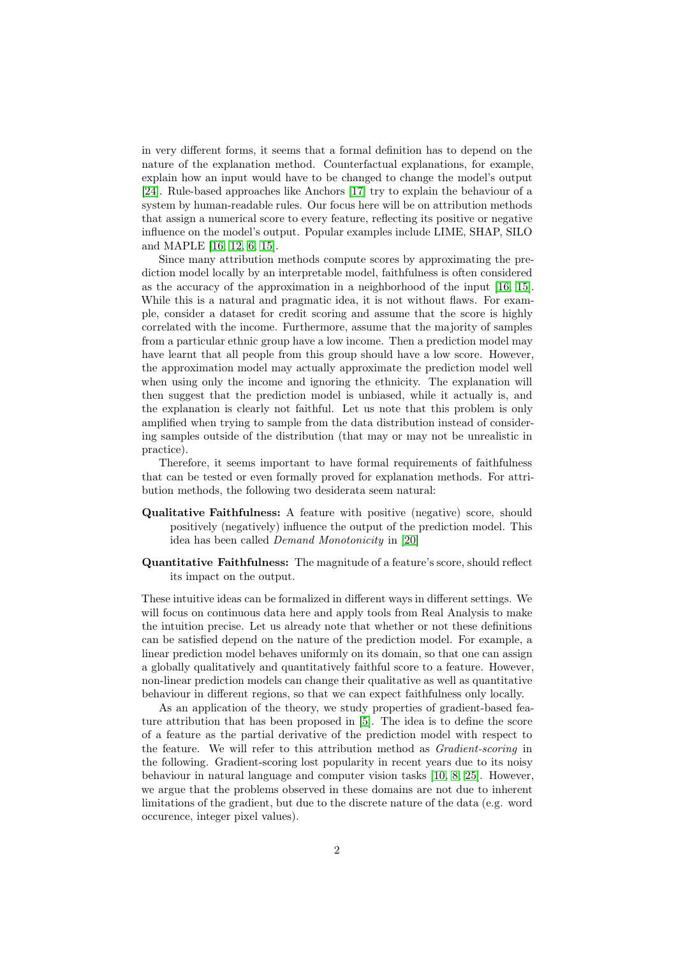in very different forms, it seems that a formal definition has to depend on the nature of the explanation method. Counterfactual explanations, for example, explain how an input would have to be changed to change the model's output [\[24\]](#page-20-0). Rule-based approaches like Anchors [\[17\]](#page-20-1) try to explain the behaviour of a system by human-readable rules. Our focus here will be on attribution methods that assign a numerical score to every feature, reflecting its positive or negative influence on the model's output. Popular examples include LIME, SHAP, SILO and MAPLE [\[16,](#page-19-1) [12,](#page-19-2) [6,](#page-19-3) [15\]](#page-19-4).

Since many attribution methods compute scores by approximating the prediction model locally by an interpretable model, faithfulness is often considered as the accuracy of the approximation in a neighborhood of the input [\[16,](#page-19-1) [15\]](#page-19-4). While this is a natural and pragmatic idea, it is not without flaws. For example, consider a dataset for credit scoring and assume that the score is highly correlated with the income. Furthermore, assume that the majority of samples from a particular ethnic group have a low income. Then a prediction model may have learnt that all people from this group should have a low score. However, the approximation model may actually approximate the prediction model well when using only the income and ignoring the ethnicity. The explanation will then suggest that the prediction model is unbiased, while it actually is, and the explanation is clearly not faithful. Let us note that this problem is only amplified when trying to sample from the data distribution instead of considering samples outside of the distribution (that may or may not be unrealistic in practice).

Therefore, it seems important to have formal requirements of faithfulness that can be tested or even formally proved for explanation methods. For attribution methods, the following two desiderata seem natural:

- Qualitative Faithfulness: A feature with positive (negative) score, should positively (negatively) influence the output of the prediction model. This idea has been called Demand Monotonicity in [\[20\]](#page-20-2)
- Quantitative Faithfulness: The magnitude of a feature's score, should reflect its impact on the output.

These intuitive ideas can be formalized in different ways in different settings. We will focus on continuous data here and apply tools from Real Analysis to make the intuition precise. Let us already note that whether or not these definitions can be satisfied depend on the nature of the prediction model. For example, a linear prediction model behaves uniformly on its domain, so that one can assign a globally qualitatively and quantitatively faithful score to a feature. However, non-linear prediction models can change their qualitative as well as quantitative behaviour in different regions, so that we can expect faithfulness only locally.

As an application of the theory, we study properties of gradient-based feature attribution that has been proposed in [\[5\]](#page-19-5). The idea is to define the score of a feature as the partial derivative of the prediction model with respect to the feature. We will refer to this attribution method as *Gradient-scoring* in the following. Gradient-scoring lost popularity in recent years due to its noisy behaviour in natural language and computer vision tasks [\[10,](#page-19-6) [8,](#page-19-7) [25\]](#page-20-3). However, we argue that the problems observed in these domains are not due to inherent limitations of the gradient, but due to the discrete nature of the data (e.g. word occurence, integer pixel values).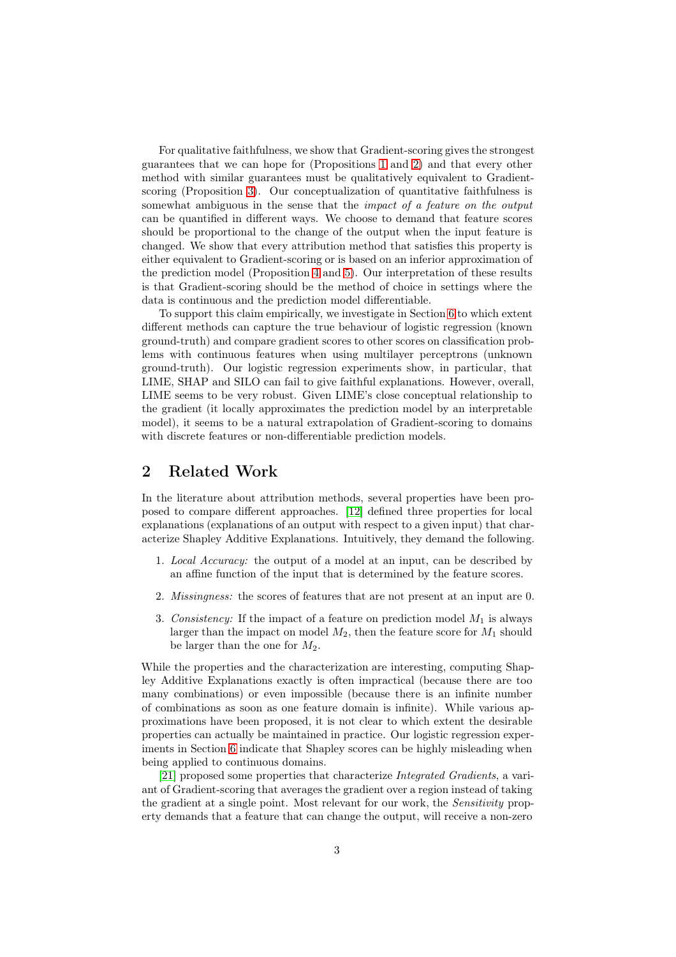For qualitative faithfulness, we show that Gradient-scoring gives the strongest guarantees that we can hope for (Propositions [1](#page-7-0) and [2\)](#page-8-0) and that every other method with similar guarantees must be qualitatively equivalent to Gradientscoring (Proposition [3\)](#page-9-0). Our conceptualization of quantitative faithfulness is somewhat ambiguous in the sense that the *impact* of a feature on the output can be quantified in different ways. We choose to demand that feature scores should be proportional to the change of the output when the input feature is changed. We show that every attribution method that satisfies this property is either equivalent to Gradient-scoring or is based on an inferior approximation of the prediction model (Proposition [4](#page-10-0) and [5\)](#page-11-0). Our interpretation of these results is that Gradient-scoring should be the method of choice in settings where the data is continuous and the prediction model differentiable.

To support this claim empirically, we investigate in Section [6](#page-11-1) to which extent different methods can capture the true behaviour of logistic regression (known ground-truth) and compare gradient scores to other scores on classification problems with continuous features when using multilayer perceptrons (unknown ground-truth). Our logistic regression experiments show, in particular, that LIME, SHAP and SILO can fail to give faithful explanations. However, overall, LIME seems to be very robust. Given LIME's close conceptual relationship to the gradient (it locally approximates the prediction model by an interpretable model), it seems to be a natural extrapolation of Gradient-scoring to domains with discrete features or non-differentiable prediction models.

# 2 Related Work

In the literature about attribution methods, several properties have been proposed to compare different approaches. [\[12\]](#page-19-2) defined three properties for local explanations (explanations of an output with respect to a given input) that characterize Shapley Additive Explanations. Intuitively, they demand the following.

- 1. Local Accuracy: the output of a model at an input, can be described by an affine function of the input that is determined by the feature scores.
- 2. Missingness: the scores of features that are not present at an input are 0.
- 3. Consistency: If the impact of a feature on prediction model  $M_1$  is always larger than the impact on model  $M_2$ , then the feature score for  $M_1$  should be larger than the one for  $M_2$ .

While the properties and the characterization are interesting, computing Shapley Additive Explanations exactly is often impractical (because there are too many combinations) or even impossible (because there is an infinite number of combinations as soon as one feature domain is infinite). While various approximations have been proposed, it is not clear to which extent the desirable properties can actually be maintained in practice. Our logistic regression experiments in Section [6](#page-11-1) indicate that Shapley scores can be highly misleading when being applied to continuous domains.

[\[21\]](#page-20-4) proposed some properties that characterize Integrated Gradients, a variant of Gradient-scoring that averages the gradient over a region instead of taking the gradient at a single point. Most relevant for our work, the *Sensitivity* property demands that a feature that can change the output, will receive a non-zero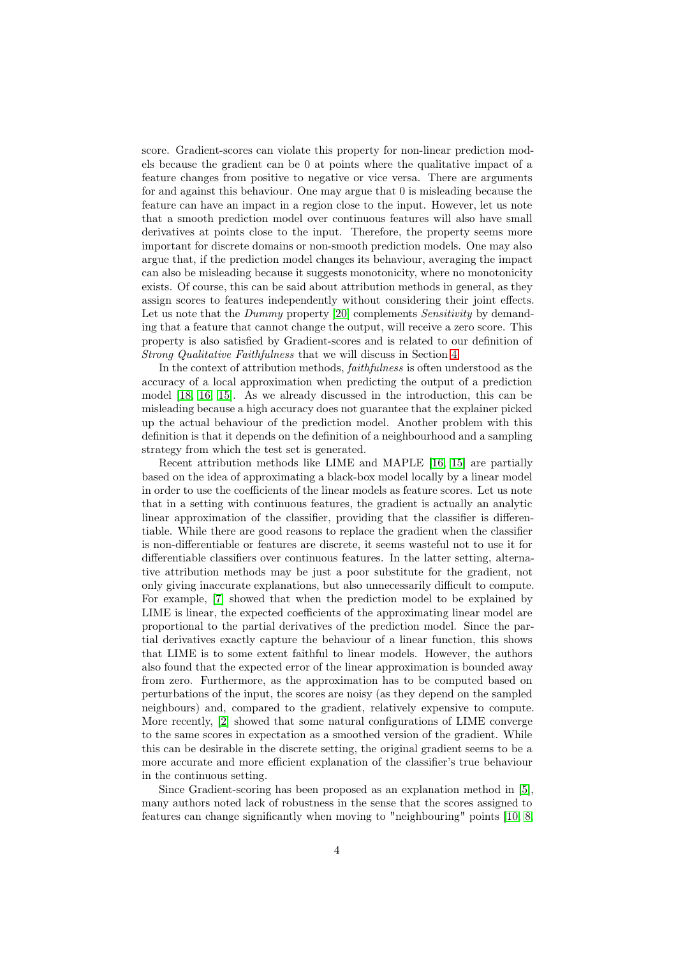score. Gradient-scores can violate this property for non-linear prediction models because the gradient can be 0 at points where the qualitative impact of a feature changes from positive to negative or vice versa. There are arguments for and against this behaviour. One may argue that 0 is misleading because the feature can have an impact in a region close to the input. However, let us note that a smooth prediction model over continuous features will also have small derivatives at points close to the input. Therefore, the property seems more important for discrete domains or non-smooth prediction models. One may also argue that, if the prediction model changes its behaviour, averaging the impact can also be misleading because it suggests monotonicity, where no monotonicity exists. Of course, this can be said about attribution methods in general, as they assign scores to features independently without considering their joint effects. Let us note that the *Dummy* property [\[20\]](#page-20-2) complements *Sensitivity* by demanding that a feature that cannot change the output, will receive a zero score. This property is also satisfied by Gradient-scores and is related to our definition of Strong Qualitative Faithfulness that we will discuss in Section [4.](#page-5-0)

In the context of attribution methods, faithfulness is often understood as the accuracy of a local approximation when predicting the output of a prediction model [\[18,](#page-20-5) [16,](#page-19-1) [15\]](#page-19-4). As we already discussed in the introduction, this can be misleading because a high accuracy does not guarantee that the explainer picked up the actual behaviour of the prediction model. Another problem with this definition is that it depends on the definition of a neighbourhood and a sampling strategy from which the test set is generated.

Recent attribution methods like LIME and MAPLE [\[16,](#page-19-1) [15\]](#page-19-4) are partially based on the idea of approximating a black-box model locally by a linear model in order to use the coefficients of the linear models as feature scores. Let us note that in a setting with continuous features, the gradient is actually an analytic linear approximation of the classifier, providing that the classifier is differentiable. While there are good reasons to replace the gradient when the classifier is non-differentiable or features are discrete, it seems wasteful not to use it for differentiable classifiers over continuous features. In the latter setting, alternative attribution methods may be just a poor substitute for the gradient, not only giving inaccurate explanations, but also unnecessarily difficult to compute. For example, [\[7\]](#page-19-8) showed that when the prediction model to be explained by LIME is linear, the expected coefficients of the approximating linear model are proportional to the partial derivatives of the prediction model. Since the partial derivatives exactly capture the behaviour of a linear function, this shows that LIME is to some extent faithful to linear models. However, the authors also found that the expected error of the linear approximation is bounded away from zero. Furthermore, as the approximation has to be computed based on perturbations of the input, the scores are noisy (as they depend on the sampled neighbours) and, compared to the gradient, relatively expensive to compute. More recently, [\[2\]](#page-18-1) showed that some natural configurations of LIME converge to the same scores in expectation as a smoothed version of the gradient. While this can be desirable in the discrete setting, the original gradient seems to be a more accurate and more efficient explanation of the classifier's true behaviour in the continuous setting.

Since Gradient-scoring has been proposed as an explanation method in [\[5\]](#page-19-5), many authors noted lack of robustness in the sense that the scores assigned to features can change significantly when moving to "neighbouring" points [\[10,](#page-19-6) [8,](#page-19-7)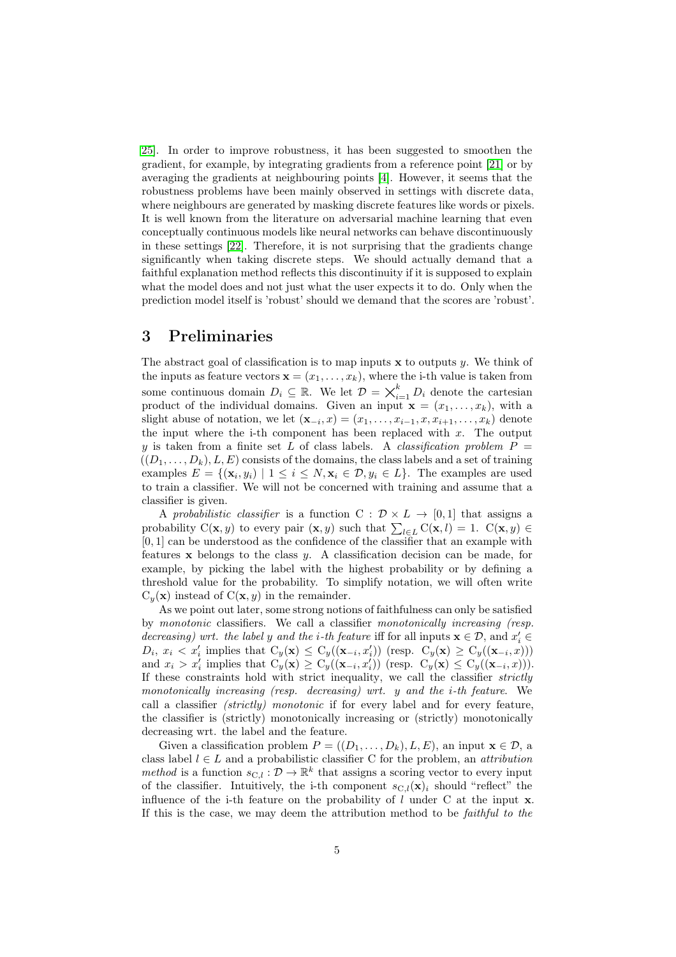[25\]](#page-20-3). In order to improve robustness, it has been suggested to smoothen the gradient, for example, by integrating gradients from a reference point [\[21\]](#page-20-4) or by averaging the gradients at neighbouring points [\[4\]](#page-19-9). However, it seems that the robustness problems have been mainly observed in settings with discrete data, where neighbours are generated by masking discrete features like words or pixels. It is well known from the literature on adversarial machine learning that even conceptually continuous models like neural networks can behave discontinuously in these settings [\[22\]](#page-20-6). Therefore, it is not surprising that the gradients change significantly when taking discrete steps. We should actually demand that a faithful explanation method reflects this discontinuity if it is supposed to explain what the model does and not just what the user expects it to do. Only when the prediction model itself is 'robust' should we demand that the scores are 'robust'.

## 3 Preliminaries

The abstract goal of classification is to map inputs  $x$  to outputs y. We think of the inputs as feature vectors  $\mathbf{x} = (x_1, \ldots, x_k)$ , where the i-th value is taken from some continuous domain  $D_i \subseteq \mathbb{R}$ . We let  $\mathcal{D} = \bigtimes_{i=1}^k D_i$  denote the cartesian product of the individual domains. Given an input  $\mathbf{x} = (x_1, \ldots, x_k)$ , with a slight abuse of notation, we let  $(\mathbf{x}_{-i}, x) = (x_1, \ldots, x_{i-1}, x, x_{i+1}, \ldots, x_k)$  denote the input where the i-th component has been replaced with  $x$ . The output y is taken from a finite set L of class labels. A *classification problem*  $P =$  $((D_1, \ldots, D_k), L, E)$  consists of the domains, the class labels and a set of training examples  $E = \{(\mathbf{x}_i, y_i) \mid 1 \le i \le N, \mathbf{x}_i \in \mathcal{D}, y_i \in L\}$ . The examples are used to train a classifier. We will not be concerned with training and assume that a classifier is given.

A probabilistic classifier is a function C :  $\mathcal{D} \times L \rightarrow [0, 1]$  that assigns a probability  $C(\mathbf{x}, y)$  to every pair  $(\mathbf{x}, y)$  such that  $\sum_{l \in L} C(\mathbf{x}, l) = 1$ .  $C(\mathbf{x}, y) \in$ [0, 1] can be understood as the confidence of the classifier that an example with features  $x$  belongs to the class  $y$ . A classification decision can be made, for example, by picking the label with the highest probability or by defining a threshold value for the probability. To simplify notation, we will often write  $C_y(\mathbf{x})$  instead of  $C(\mathbf{x}, y)$  in the remainder.

As we point out later, some strong notions of faithfulness can only be satisfied by monotonic classifiers. We call a classifier monotonically increasing (resp. decreasing) wrt. the label y and the *i*-th feature iff for all inputs  $\mathbf{x} \in \mathcal{D}$ , and  $x'_i \in \mathcal{D}$  $D_i, x_i \lt x'_i$  implies that  $C_y(\mathbf{x}) \leq C_y((\mathbf{x}_{-i}, x'_i))$  (resp.  $C_y(\mathbf{x}) \geq C_y((\mathbf{x}_{-i}, x'_i))$ ) and  $x_i > x'_i$  implies that  $C_y(\mathbf{x}) \geq C_y((\mathbf{x}_{-i}, x'_i))$  (resp.  $C_y(\mathbf{x}) \leq C_y((\mathbf{x}_{-i}, x))$ ). If these constraints hold with strict inequality, we call the classifier strictly monotonically increasing (resp. decreasing) wrt. y and the i-th feature. We call a classifier *(strictly)* monotonic if for every label and for every feature, the classifier is (strictly) monotonically increasing or (strictly) monotonically decreasing wrt. the label and the feature.

Given a classification problem  $P = ((D_1, \ldots, D_k), L, E)$ , an input  $\mathbf{x} \in \mathcal{D}$ , a class label  $l \in L$  and a probabilistic classifier C for the problem, an *attribution* method is a function  $s_{\text{C},l} : \mathcal{D} \to \mathbb{R}^k$  that assigns a scoring vector to every input of the classifier. Intuitively, the i-th component  $s_{\text{C},l}(\mathbf{x})_i$  should "reflect" the influence of the i-th feature on the probability of  $l$  under C at the input  $x$ . If this is the case, we may deem the attribution method to be faithful to the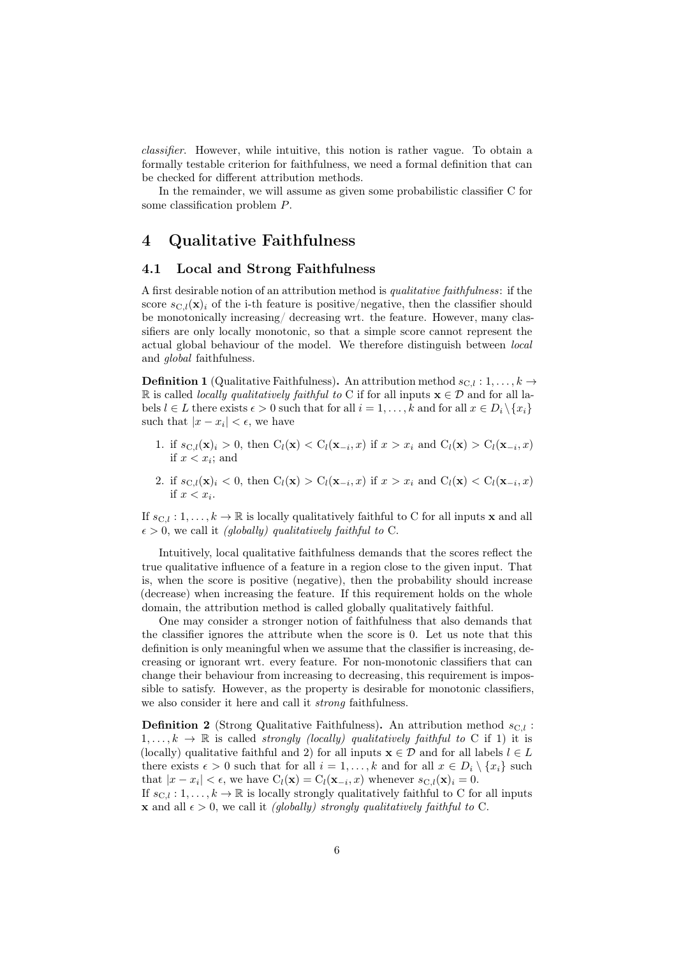classifier. However, while intuitive, this notion is rather vague. To obtain a formally testable criterion for faithfulness, we need a formal definition that can be checked for different attribution methods.

In the remainder, we will assume as given some probabilistic classifier C for some classification problem P.

# <span id="page-5-0"></span>4 Qualitative Faithfulness

#### 4.1 Local and Strong Faithfulness

A first desirable notion of an attribution method is qualitative faithfulness: if the score  $s_{\text{C},l}(\mathbf{x})_i$  of the i-th feature is positive/negative, then the classifier should be monotonically increasing/ decreasing wrt. the feature. However, many classifiers are only locally monotonic, so that a simple score cannot represent the actual global behaviour of the model. We therefore distinguish between local and global faithfulness.

**Definition 1** (Qualitative Faithfulness). An attribution method  $s_{C,l}: 1, \ldots, k \rightarrow$ R is called *locally qualitatively faithful to* C if for all inputs  $\mathbf{x} \in \mathcal{D}$  and for all labels  $l \in L$  there exists  $\epsilon > 0$  such that for all  $i = 1, \ldots, k$  and for all  $x \in D_i \setminus \{x_i\}$ such that  $|x - x_i| < \epsilon$ , we have

- 1. if  $s_{\mathrm{C},l}(\mathbf{x})_i > 0$ , then  $C_l(\mathbf{x}) < C_l(\mathbf{x}_{-i},x)$  if  $x > x_i$  and  $C_l(\mathbf{x}) > C_l(\mathbf{x}_{-i},x)$ if  $x < x_i$ ; and
- 2. if  $s_{\mathrm{C},l}(\mathbf{x})_i < 0$ , then  $C_l(\mathbf{x}) > C_l(\mathbf{x}_{-i},x)$  if  $x > x_i$  and  $C_l(\mathbf{x}) < C_l(\mathbf{x}_{-i},x)$ if  $x < x_i$ .

If  $s_{C,l} : 1, \ldots, k \to \mathbb{R}$  is locally qualitatively faithful to C for all inputs **x** and all  $\epsilon > 0$ , we call it *(globally)* qualitatively faithful to C.

Intuitively, local qualitative faithfulness demands that the scores reflect the true qualitative influence of a feature in a region close to the given input. That is, when the score is positive (negative), then the probability should increase (decrease) when increasing the feature. If this requirement holds on the whole domain, the attribution method is called globally qualitatively faithful.

One may consider a stronger notion of faithfulness that also demands that the classifier ignores the attribute when the score is 0. Let us note that this definition is only meaningful when we assume that the classifier is increasing, decreasing or ignorant wrt. every feature. For non-monotonic classifiers that can change their behaviour from increasing to decreasing, this requirement is impossible to satisfy. However, as the property is desirable for monotonic classifiers, we also consider it here and call it *strong* faithfulness.

**Definition 2** (Strong Qualitative Faithfulness). An attribution method  $s_{C,l}$ :  $1, \ldots, k \rightarrow \mathbb{R}$  is called *strongly (locally) qualitatively faithful to* C if 1) it is (locally) qualitative faithful and 2) for all inputs  $\mathbf{x} \in \mathcal{D}$  and for all labels  $l \in L$ there exists  $\epsilon > 0$  such that for all  $i = 1, ..., k$  and for all  $x \in D_i \setminus \{x_i\}$  such that  $|x - x_i| < \epsilon$ , we have  $C_l(\mathbf{x}) = C_l(\mathbf{x}_{-i}, x)$  whenever  $s_{\text{C},l}(\mathbf{x})_i = 0$ .

If  $s_{\text{C},l} : 1, \ldots, k \to \mathbb{R}$  is locally strongly qualitatively faithful to C for all inputs **x** and all  $\epsilon > 0$ , we call it *(globally) strongly qualitatively faithful to C.*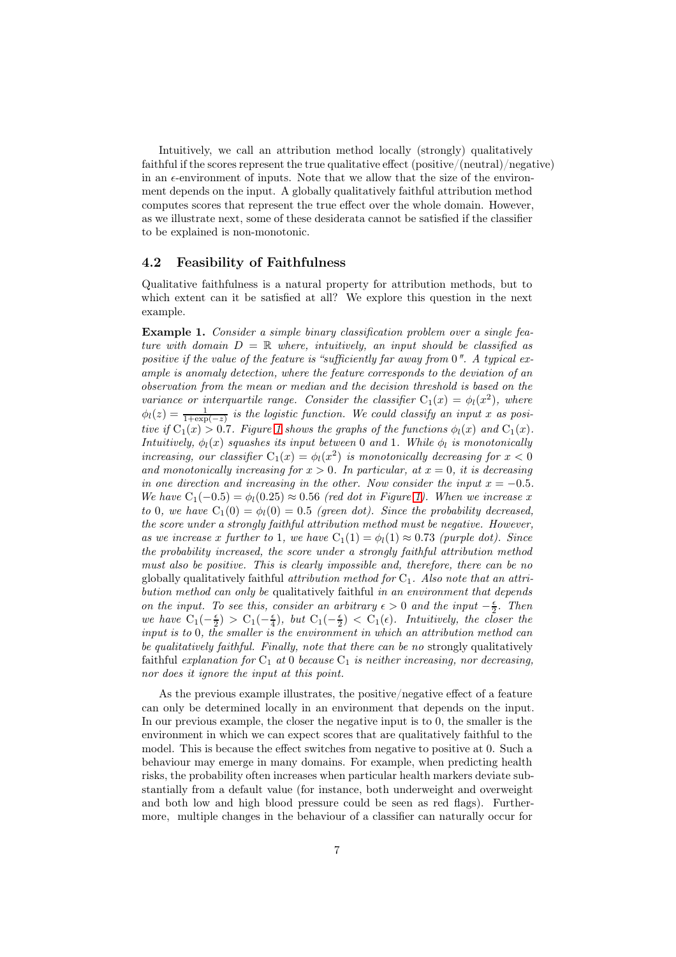Intuitively, we call an attribution method locally (strongly) qualitatively faithful if the scores represent the true qualitative effect (positive/(neutral)/negative) in an  $\epsilon$ -environment of inputs. Note that we allow that the size of the environment depends on the input. A globally qualitatively faithful attribution method computes scores that represent the true effect over the whole domain. However, as we illustrate next, some of these desiderata cannot be satisfied if the classifier to be explained is non-monotonic.

#### 4.2 Feasibility of Faithfulness

Qualitative faithfulness is a natural property for attribution methods, but to which extent can it be satisfied at all? We explore this question in the next example.

<span id="page-6-0"></span>Example 1. Consider a simple binary classification problem over a single feature with domain  $D = \mathbb{R}$  where, intuitively, an input should be classified as positive if the value of the feature is "sufficiently far away from  $0$ ". A typical example is anomaly detection, where the feature corresponds to the deviation of an observation from the mean or median and the decision threshold is based on the variance or interquartile range. Consider the classifier  $C_1(x) = \phi_l(x^2)$ , where  $\phi_l(z) = \frac{1}{1+\exp(-z)}$  is the logistic function. We could classify an input x as positive if  $C_1(x) > 0.7$ . Figure [1](#page-7-1) shows the graphs of the functions  $\phi_l(x)$  and  $C_1(x)$ . Intuitively,  $\phi_l(x)$  squashes its input between 0 and 1. While  $\phi_l$  is monotonically increasing, our classifier  $C_1(x) = \phi_l(x^2)$  is monotonically decreasing for  $x < 0$ and monotonically increasing for  $x > 0$ . In particular, at  $x = 0$ , it is decreasing in one direction and increasing in the other. Now consider the input  $x = -0.5$ . We have  $C_1(-0.5) = \phi_1(0.25) \approx 0.56$  (red dot in Figure [1\)](#page-7-1). When we increase x to 0, we have  $C_1(0) = \phi_1(0) = 0.5$  (green dot). Since the probability decreased, the score under a strongly faithful attribution method must be negative. However, as we increase x further to 1, we have  $C_1(1) = \phi_l(1) \approx 0.73$  (purple dot). Since the probability increased, the score under a strongly faithful attribution method must also be positive. This is clearly impossible and, therefore, there can be no globally qualitatively faithful *attribution method for*  $C_1$ . Also note that an attribution method can only be qualitatively faithful in an environment that depends on the input. To see this, consider an arbitrary  $\epsilon > 0$  and the input  $-\frac{\epsilon}{2}$ . Then we have  $C_1(-\frac{\epsilon}{2}) > C_1(-\frac{\epsilon}{4})$ , but  $C_1(-\frac{\epsilon}{2}) < C_1(\epsilon)$ . Intuitively, the closer the input is to 0, the smaller is the environment in which an attribution method can be qualitatively faithful. Finally, note that there can be no strongly qualitatively faithful explanation for  $C_1$  at 0 because  $C_1$  is neither increasing, nor decreasing, nor does it ignore the input at this point.

As the previous example illustrates, the positive/negative effect of a feature can only be determined locally in an environment that depends on the input. In our previous example, the closer the negative input is to 0, the smaller is the environment in which we can expect scores that are qualitatively faithful to the model. This is because the effect switches from negative to positive at 0. Such a behaviour may emerge in many domains. For example, when predicting health risks, the probability often increases when particular health markers deviate substantially from a default value (for instance, both underweight and overweight and both low and high blood pressure could be seen as red flags). Furthermore, multiple changes in the behaviour of a classifier can naturally occur for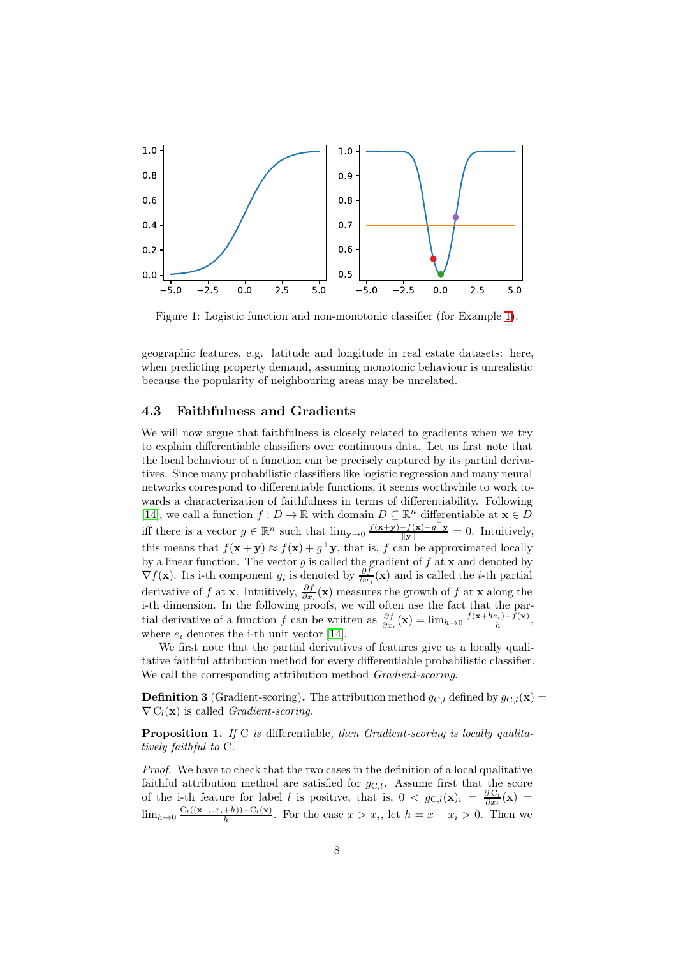

<span id="page-7-1"></span>Figure 1: Logistic function and non-monotonic classifier (for Example [1\)](#page-6-0).

geographic features, e.g. latitude and longitude in real estate datasets: here, when predicting property demand, assuming monotonic behaviour is unrealistic because the popularity of neighbouring areas may be unrelated.

#### 4.3 Faithfulness and Gradients

We will now argue that faithfulness is closely related to gradients when we try to explain differentiable classifiers over continuous data. Let us first note that the local behaviour of a function can be precisely captured by its partial derivatives. Since many probabilistic classifiers like logistic regression and many neural networks correspond to differentiable functions, it seems worthwhile to work towards a characterization of faithfulness in terms of differentiability. Following [\[14\]](#page-19-10), we call a function  $f: D \to \mathbb{R}$  with domain  $D \subseteq \mathbb{R}^n$  differentiable at  $\mathbf{x} \in D$ iff there is a vector  $g \in \mathbb{R}^n$  such that  $\lim_{\mathbf{y}\to 0} \frac{f(\mathbf{x}+\mathbf{y})-f(\mathbf{x})-g^\top \mathbf{y}}{\|\mathbf{y}\|} = 0$ . Intuitively, this means that  $f(\mathbf{x} + \mathbf{y}) \approx f(\mathbf{x}) + g^{\top} \mathbf{y}$ , that is, f can be approximated locally by a linear function. The vector g is called the gradient of  $f$  at  $x$  and denoted by  $\nabla f(\mathbf{x})$ . Its i-th component  $g_i$  is denoted by  $\frac{\partial f}{\partial x_i}(\mathbf{x})$  and is called the *i*-th partial derivative of f at **x**. Intuitively,  $\frac{\partial f}{\partial x_i}(\mathbf{x})$  measures the growth of f at **x** along the i-th dimension. In the following proofs, we will often use the fact that the partial derivative of a function f can be written as  $\frac{\partial f}{\partial x_i}(\mathbf{x}) = \lim_{h \to 0} \frac{f(\mathbf{x}+he_i) - f(\mathbf{x})}{h}$ , where  $e_i$  denotes the i-th unit vector [\[14\]](#page-19-10).

We first note that the partial derivatives of features give us a locally qualitative faithful attribution method for every differentiable probabilistic classifier. We call the corresponding attribution method Gradient-scoring.

**Definition 3** (Gradient-scoring). The attribution method  $g_{C,l}$  defined by  $g_{C,l}(\mathbf{x}) =$  $\nabla C_l(\mathbf{x})$  is called Gradient-scoring.

<span id="page-7-0"></span>Proposition 1. If C is differentiable, then Gradient-scoring is locally qualitatively faithful to C.

Proof. We have to check that the two cases in the definition of a local qualitative faithful attribution method are satisfied for  $g_{\text{C},l}$ . Assume first that the score of the i-th feature for label l is positive, that is,  $0 < g_{\text{C},l}(\mathbf{x})_i = \frac{\partial \text{C}_l}{\partial x_i}(\mathbf{x}) =$  $\lim_{h\to 0} \frac{C_l((\mathbf{x}_{-i},x_i+h)) - C_l(\mathbf{x})}{h}$ . For the case  $x > x_i$ , let  $h = x - x_i > 0$ . Then we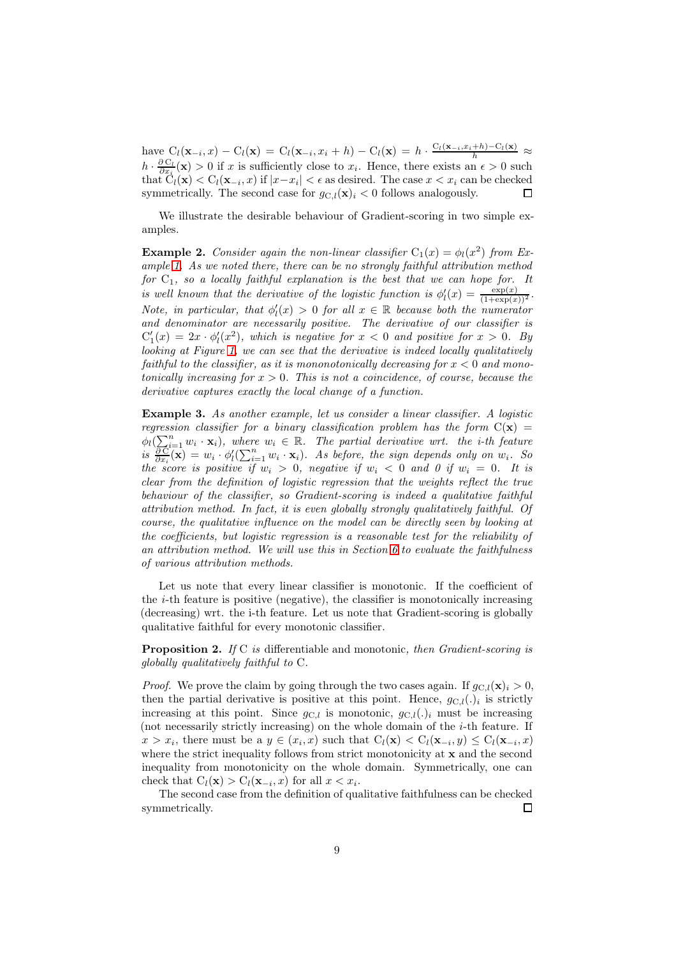have  $C_l(\mathbf{x}_{-i},x) - C_l(\mathbf{x}) = C_l(\mathbf{x}_{-i},x_i+h) - C_l(\mathbf{x}) = h \cdot \frac{C_l(\mathbf{x}_{-i},x_i+h) - C_l(\mathbf{x})}{h} \approx$  $h \cdot \frac{\partial C_l}{\partial x_i}(\mathbf{x}) > 0$  if x is sufficiently close to  $x_i$ . Hence, there exists an  $\epsilon > 0$  such that  $C_l(\mathbf{x}) < C_l(\mathbf{x}_{-i}, x)$  if  $|x-x_i| < \epsilon$  as desired. The case  $x < x_i$  can be checked symmetrically. The second case for  $g_{C,l}(\mathbf{x})_i < 0$  follows analogously.  $\Box$ 

We illustrate the desirable behaviour of Gradient-scoring in two simple examples.

**Example 2.** Consider again the non-linear classifier  $C_1(x) = \phi_l(x^2)$  from Example [1.](#page-6-0) As we noted there, there can be no strongly faithful attribution method for  $C_1$ , so a locally faithful explanation is the best that we can hope for. It is well known that the derivative of the logistic function is  $\phi'_l(x) = \frac{\exp(x)}{(1+\exp(x))^2}$ . Note, in particular, that  $\phi'_l(x) > 0$  for all  $x \in \mathbb{R}$  because both the numerator and denominator are necessarily positive. The derivative of our classifier is  $C'_1(x) = 2x \cdot \phi'_i(x^2)$ , which is negative for  $x < 0$  and positive for  $x > 0$ . By looking at Figure [1,](#page-7-1) we can see that the derivative is indeed locally qualitatively faithful to the classifier, as it is mononotonically decreasing for  $x < 0$  and monotonically increasing for  $x > 0$ . This is not a coincidence, of course, because the derivative captures exactly the local change of a function.

<span id="page-8-1"></span>Example 3. As another example, let us consider a linear classifier. A logistic regression classifier for a binary classification problem has the form  $C(x) =$  $\phi_l(\sum_{i=1}^n w_i \cdot \mathbf{x}_i)$ , where  $w_i \in \mathbb{R}$ . The partial derivative wrt. the *i*-th feature  $is \frac{c}{e}$  $\frac{\partial \widetilde{C}}{\partial x_i}(\mathbf{x}) = w_i \cdot \phi'_l(\sum_{i=1}^n w_i \cdot \mathbf{x}_i)$ . As before, the sign depends only on  $w_i$ . So the score is positive if  $w_i > 0$ , negative if  $w_i < 0$  and 0 if  $w_i = 0$ . It is clear from the definition of logistic regression that the weights reflect the true behaviour of the classifier, so Gradient-scoring is indeed a qualitative faithful attribution method. In fact, it is even globally strongly qualitatively faithful. Of course, the qualitative influence on the model can be directly seen by looking at the coefficients, but logistic regression is a reasonable test for the reliability of an attribution method. We will use this in Section [6](#page-11-1) to evaluate the faithfulness of various attribution methods.

Let us note that every linear classifier is monotonic. If the coefficient of the  $i$ -th feature is positive (negative), the classifier is monotonically increasing (decreasing) wrt. the i-th feature. Let us note that Gradient-scoring is globally qualitative faithful for every monotonic classifier.

<span id="page-8-0"></span>**Proposition 2.** If C is differentiable and monotonic, then Gradient-scoring is globally qualitatively faithful to C.

*Proof.* We prove the claim by going through the two cases again. If  $g_{C,l}(\mathbf{x})_i > 0$ , then the partial derivative is positive at this point. Hence,  $g_{\text{C},l}(\cdot)_i$  is strictly increasing at this point. Since  $g_{\text{C},l}$  is monotonic,  $g_{\text{C},l}(\cdot)_i$  must be increasing (not necessarily strictly increasing) on the whole domain of the  $i$ -th feature. If  $x > x_i$ , there must be a  $y \in (x_i, x)$  such that  $C_l(\mathbf{x}) < C_l(\mathbf{x}_{-i}, y) \leq C_l(\mathbf{x}_{-i}, x)$ where the strict inequality follows from strict monotonicity at  $x$  and the second inequality from monotonicity on the whole domain. Symmetrically, one can check that  $C_l(\mathbf{x}) > C_l(\mathbf{x}_{-i}, x)$  for all  $x < x_i$ .

The second case from the definition of qualitative faithfulness can be checked symmetrically.  $\Box$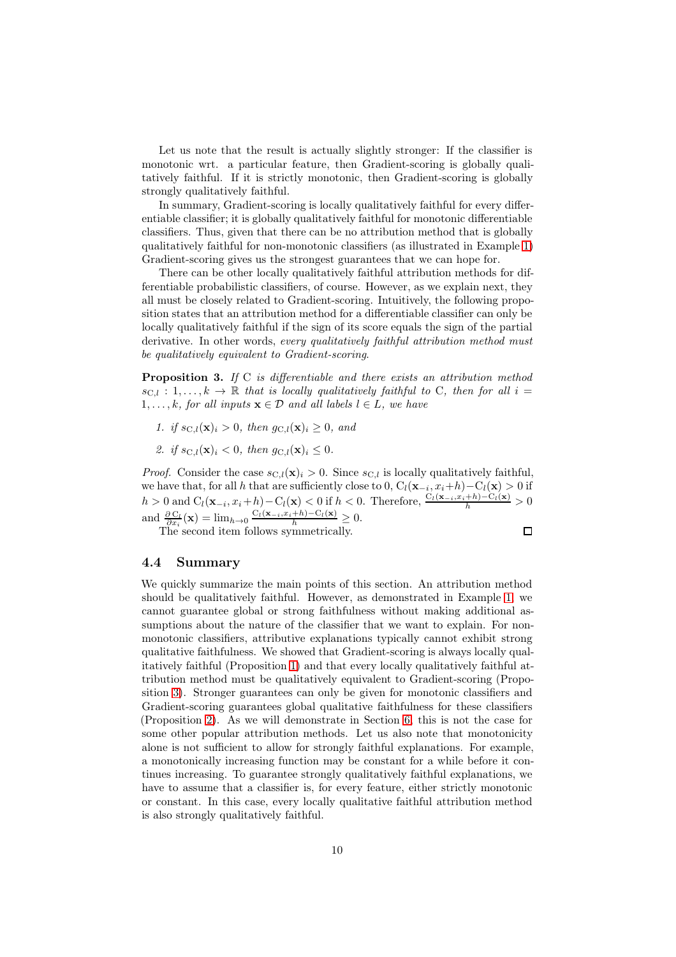Let us note that the result is actually slightly stronger: If the classifier is monotonic wrt. a particular feature, then Gradient-scoring is globally qualitatively faithful. If it is strictly monotonic, then Gradient-scoring is globally strongly qualitatively faithful.

In summary, Gradient-scoring is locally qualitatively faithful for every differentiable classifier; it is globally qualitatively faithful for monotonic differentiable classifiers. Thus, given that there can be no attribution method that is globally qualitatively faithful for non-monotonic classifiers (as illustrated in Example [1\)](#page-6-0) Gradient-scoring gives us the strongest guarantees that we can hope for.

There can be other locally qualitatively faithful attribution methods for differentiable probabilistic classifiers, of course. However, as we explain next, they all must be closely related to Gradient-scoring. Intuitively, the following proposition states that an attribution method for a differentiable classifier can only be locally qualitatively faithful if the sign of its score equals the sign of the partial derivative. In other words, every qualitatively faithful attribution method must be qualitatively equivalent to Gradient-scoring.

<span id="page-9-0"></span>**Proposition 3.** If C is differentiable and there exists an attribution method  $s_{\text{C},l} : 1, \ldots, k \to \mathbb{R}$  that is locally qualitatively faithful to C, then for all  $i =$  $1, \ldots, k$ , for all inputs  $\mathbf{x} \in \mathcal{D}$  and all labels  $l \in L$ , we have

- 1. if  $s_{\text{C},l}(\mathbf{x})_i > 0$ , then  $q_{\text{C},l}(\mathbf{x})_i > 0$ , and
- 2. if  $s_{\text{C},l}(\mathbf{x})_i < 0$ , then  $g_{\text{C},l}(\mathbf{x})_i \leq 0$ .

*Proof.* Consider the case  $s_{C,l}(\mathbf{x})_i > 0$ . Since  $s_{C,l}$  is locally qualitatively faithful, we have that, for all h that are sufficiently close to  $0, C_l(\mathbf{x}_{-i}, x_i + h) - C_l(\mathbf{x}) > 0$  if  $h > 0$  and  $C_l(\mathbf{x}_{-i}, x_i + h) - C_l(\mathbf{x}) < 0$  if  $h < 0$ . Therefore,  $\frac{C_l(\mathbf{x}_{-i}, x_i + h) - C_l(\mathbf{x})}{h} > 0$ and  $\frac{\partial C_l}{\partial x_i}(\mathbf{x}) = \lim_{h \to 0} \frac{C_l(\mathbf{x}_{-i}, x_i + h) - C_l(\mathbf{x})}{h} \geq 0.$ 

The second item follows symmetrically.

#### 4.4 Summary

We quickly summarize the main points of this section. An attribution method should be qualitatively faithful. However, as demonstrated in Example [1,](#page-6-0) we cannot guarantee global or strong faithfulness without making additional assumptions about the nature of the classifier that we want to explain. For nonmonotonic classifiers, attributive explanations typically cannot exhibit strong qualitative faithfulness. We showed that Gradient-scoring is always locally qualitatively faithful (Proposition [1\)](#page-7-0) and that every locally qualitatively faithful attribution method must be qualitatively equivalent to Gradient-scoring (Proposition [3\)](#page-9-0). Stronger guarantees can only be given for monotonic classifiers and Gradient-scoring guarantees global qualitative faithfulness for these classifiers (Proposition [2\)](#page-8-0). As we will demonstrate in Section [6,](#page-11-1) this is not the case for some other popular attribution methods. Let us also note that monotonicity alone is not sufficient to allow for strongly faithful explanations. For example, a monotonically increasing function may be constant for a while before it continues increasing. To guarantee strongly qualitatively faithful explanations, we have to assume that a classifier is, for every feature, either strictly monotonic or constant. In this case, every locally qualitative faithful attribution method is also strongly qualitatively faithful.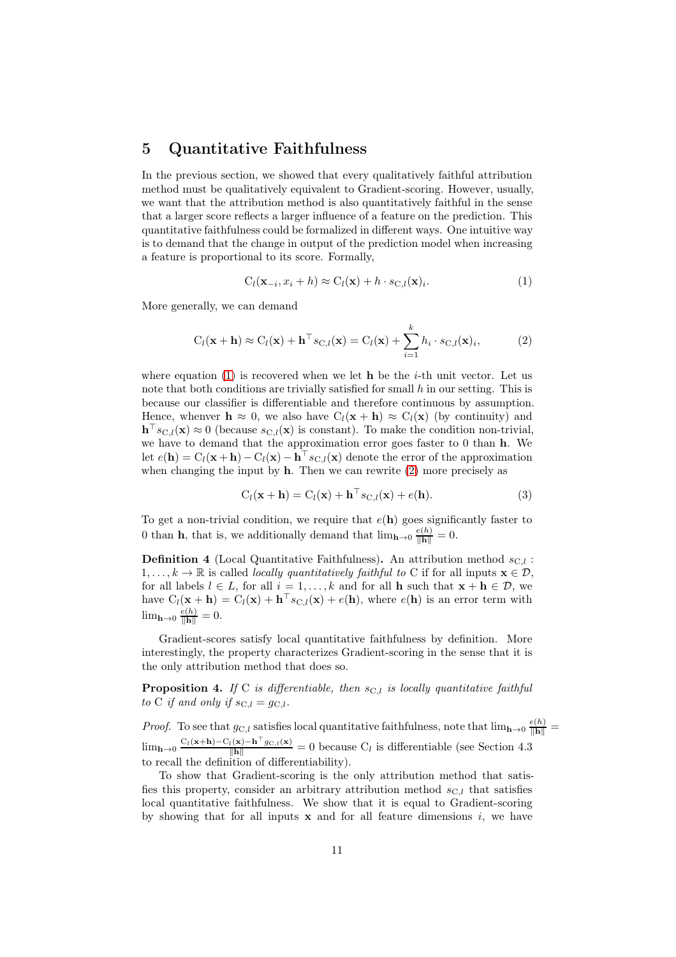# 5 Quantitative Faithfulness

In the previous section, we showed that every qualitatively faithful attribution method must be qualitatively equivalent to Gradient-scoring. However, usually, we want that the attribution method is also quantitatively faithful in the sense that a larger score reflects a larger influence of a feature on the prediction. This quantitative faithfulness could be formalized in different ways. One intuitive way is to demand that the change in output of the prediction model when increasing a feature is proportional to its score. Formally,

<span id="page-10-2"></span><span id="page-10-1"></span>
$$
C_l(\mathbf{x}_{-i}, x_i + h) \approx C_l(\mathbf{x}) + h \cdot s_{\text{C},l}(\mathbf{x})_i.
$$
 (1)

More generally, we can demand

$$
C_l(\mathbf{x} + \mathbf{h}) \approx C_l(\mathbf{x}) + \mathbf{h}^{\top} s_{C,l}(\mathbf{x}) = C_l(\mathbf{x}) + \sum_{i=1}^k h_i \cdot s_{C,l}(\mathbf{x})_i,
$$
 (2)

where equation [\(1\)](#page-10-1) is recovered when we let **h** be the *i*-th unit vector. Let us note that both conditions are trivially satisfied for small  $h$  in our setting. This is because our classifier is differentiable and therefore continuous by assumption. Hence, whenver  $h \approx 0$ , we also have  $C_l(x + h) \approx C_l(x)$  (by continuity) and  $\mathbf{h}^{\top} s_{\text{C},l}(\mathbf{x}) \approx 0$  (because  $s_{\text{C},l}(\mathbf{x})$  is constant). To make the condition non-trivial, we have to demand that the approximation error goes faster to 0 than h. We let  $e(\mathbf{h}) = C_l(\mathbf{x} + \mathbf{h}) - C_l(\mathbf{x}) - \mathbf{h}^{\top} s_{\text{C},l}(\mathbf{x})$  denote the error of the approximation when changing the input by  $h$ . Then we can rewrite  $(2)$  more precisely as

$$
C_l(\mathbf{x} + \mathbf{h}) = C_l(\mathbf{x}) + \mathbf{h}^{\top} s_{\text{C},l}(\mathbf{x}) + e(\mathbf{h}).
$$
\n(3)

To get a non-trivial condition, we require that  $e(\mathbf{h})$  goes significantly faster to 0 than **h**, that is, we additionally demand that  $\lim_{h\to 0} \frac{e(h)}{\|h\|} = 0$ .

<span id="page-10-3"></span>**Definition 4** (Local Quantitative Faithfulness). An attribution method  $s_{C,l}$ :  $1, \ldots, k \to \mathbb{R}$  is called *locally quantitatively faithful to* C if for all inputs  $\mathbf{x} \in \mathcal{D}$ . for all labels  $l \in L$ , for all  $i = 1, ..., k$  and for all **h** such that  $\mathbf{x} + \mathbf{h} \in \mathcal{D}$ , we have  $C_l(\mathbf{x} + \mathbf{h}) = C_l(\mathbf{x}) + \mathbf{h}^\top s_{\text{C},l}(\mathbf{x}) + e(\mathbf{h})$ , where  $e(\mathbf{h})$  is an error term with  $\lim_{\mathbf{h}\to 0} \frac{e(h)}{\|\mathbf{h}\|} = 0.$ 

Gradient-scores satisfy local quantitative faithfulness by definition. More interestingly, the property characterizes Gradient-scoring in the sense that it is the only attribution method that does so.

<span id="page-10-0"></span>**Proposition 4.** If C is differentiable, then  $s_{C,l}$  is locally quantitative faithful to C if and only if  $s_{C,l} = g_{C,l}$ .

*Proof.* To see that  $g_{C,l}$  satisfies local quantitative faithfulness, note that  $\lim_{h\to 0} \frac{e(h)}{\|h\|} =$  $\lim_{h\to 0} \frac{C_l(x+h)-C_l(x)-h^{\top}g_{C,l}(x)}{\Vert h \Vert} = 0$  because  $C_l$  is differentiable (see Section 4.3) to recall the definition of differentiability).

To show that Gradient-scoring is the only attribution method that satisfies this property, consider an arbitrary attribution method  $s_{C,l}$  that satisfies local quantitative faithfulness. We show that it is equal to Gradient-scoring by showing that for all inputs  $x$  and for all feature dimensions i, we have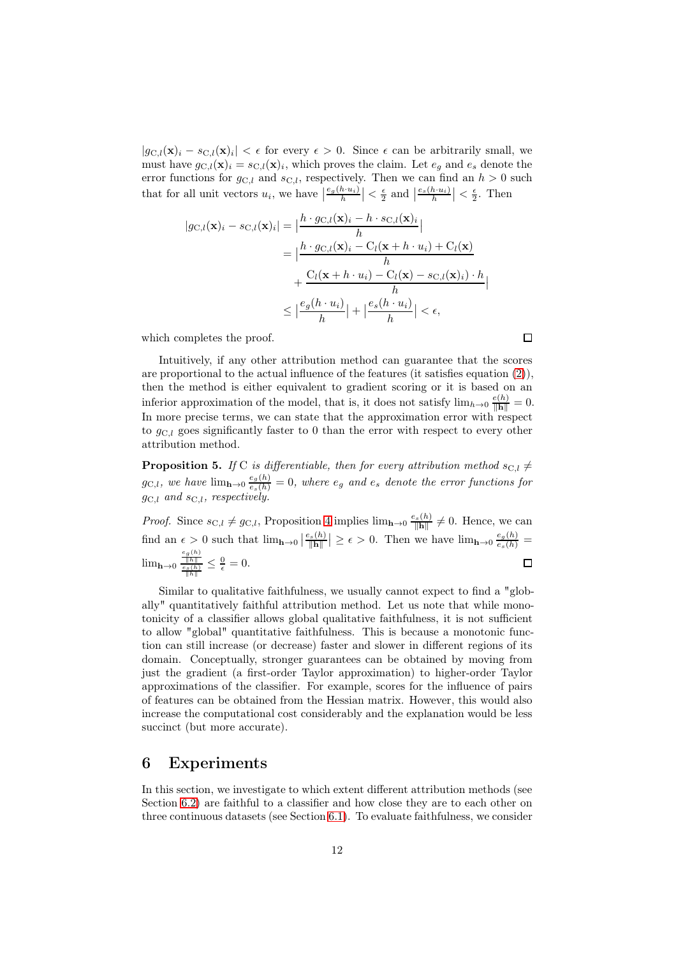$|g_{\text{C},l}(\mathbf{x})_i - s_{\text{C},l}(\mathbf{x})_i| < \epsilon$  for every  $\epsilon > 0$ . Since  $\epsilon$  can be arbitrarily small, we must have  $g_{\text{C},l}(\mathbf{x})_i = s_{\text{C},l}(\mathbf{x})_i$ , which proves the claim. Let  $e_g$  and  $e_s$  denote the error functions for  $g_{\text{C},l}$  and  $s_{\text{C},l}$ , respectively. Then we can find an  $h > 0$  such that for all unit vectors  $u_i$ , we have  $\left|\frac{e_g(h \cdot u_i)}{h}\right| < \frac{\epsilon}{2}$  and  $\left|\frac{e_s(h \cdot u_i)}{h}\right| < \frac{\epsilon}{2}$ . Then

$$
|g_{\mathcal{C},l}(\mathbf{x})_i - s_{\mathcal{C},l}(\mathbf{x})_i| = \left| \frac{h \cdot g_{\mathcal{C},l}(\mathbf{x})_i - h \cdot s_{\mathcal{C},l}(\mathbf{x})_i}{h} \right|
$$
  
= 
$$
\left| \frac{h \cdot g_{\mathcal{C},l}(\mathbf{x})_i - C_l(\mathbf{x} + h \cdot u_i) + C_l(\mathbf{x})}{h} \right|
$$
  
+ 
$$
\frac{C_l(\mathbf{x} + h \cdot u_i) - C_l(\mathbf{x}) - s_{\mathcal{C},l}(\mathbf{x})_i) \cdot h}{h} \right|
$$
  

$$
\leq \left| \frac{e_g(h \cdot u_i)}{h} \right| + \left| \frac{e_s(h \cdot u_i)}{h} \right| < \epsilon,
$$

which completes the proof.

Intuitively, if any other attribution method can guarantee that the scores are proportional to the actual influence of the features (it satisfies equation [\(2\)](#page-10-2)), then the method is either equivalent to gradient scoring or it is based on an inferior approximation of the model, that is, it does not satisfy  $\lim_{h\to 0} \frac{e(h)}{\|\mathbf{h}\|} = 0$ . In more precise terms, we can state that the approximation error with respect to  $g_{C,l}$  goes significantly faster to 0 than the error with respect to every other attribution method.

 $\Box$ 

<span id="page-11-0"></span>**Proposition 5.** If C is differentiable, then for every attribution method  $s_{C,l} \neq$  $g_{\text{C},l}$ , we have  $\lim_{h\to 0} \frac{e_g(h)}{e_s(h)} = 0$ , where  $e_g$  and  $e_s$  denote the error functions for  $g_{\text{C},l}$  and  $s_{\text{C},l}$ , respectively.

*Proof.* Since  $s_{\text{C},l} \neq g_{\text{C},l}$ , Proposition [4](#page-10-0) implies  $\lim_{h\to 0} \frac{e_s(h)}{\|h\|} \neq 0$ . Hence, we can find an  $\epsilon > 0$  such that  $\lim_{h\to 0} \left|\frac{e_s(h)}{\Vert \mathbf{h} \Vert}\right| \geq \epsilon > 0$ . Then we have  $\lim_{h\to 0} \frac{e_g(h)}{e_s(h)} =$  $\lim_{h\to 0} \frac{\frac{e_g(h)}{\|h\|}}{\frac{e_s(h)}{\|h\|}} \leq \frac{0}{\epsilon} = 0.$  $\Box$ 

Similar to qualitative faithfulness, we usually cannot expect to find a "globally" quantitatively faithful attribution method. Let us note that while monotonicity of a classifier allows global qualitative faithfulness, it is not sufficient to allow "global" quantitative faithfulness. This is because a monotonic function can still increase (or decrease) faster and slower in different regions of its domain. Conceptually, stronger guarantees can be obtained by moving from just the gradient (a first-order Taylor approximation) to higher-order Taylor approximations of the classifier. For example, scores for the influence of pairs of features can be obtained from the Hessian matrix. However, this would also increase the computational cost considerably and the explanation would be less succinct (but more accurate).

# <span id="page-11-1"></span>6 Experiments

In this section, we investigate to which extent different attribution methods (see Section [6.2\)](#page-12-0) are faithful to a classifier and how close they are to each other on three continuous datasets (see Section [6.1\)](#page-12-1). To evaluate faithfulness, we consider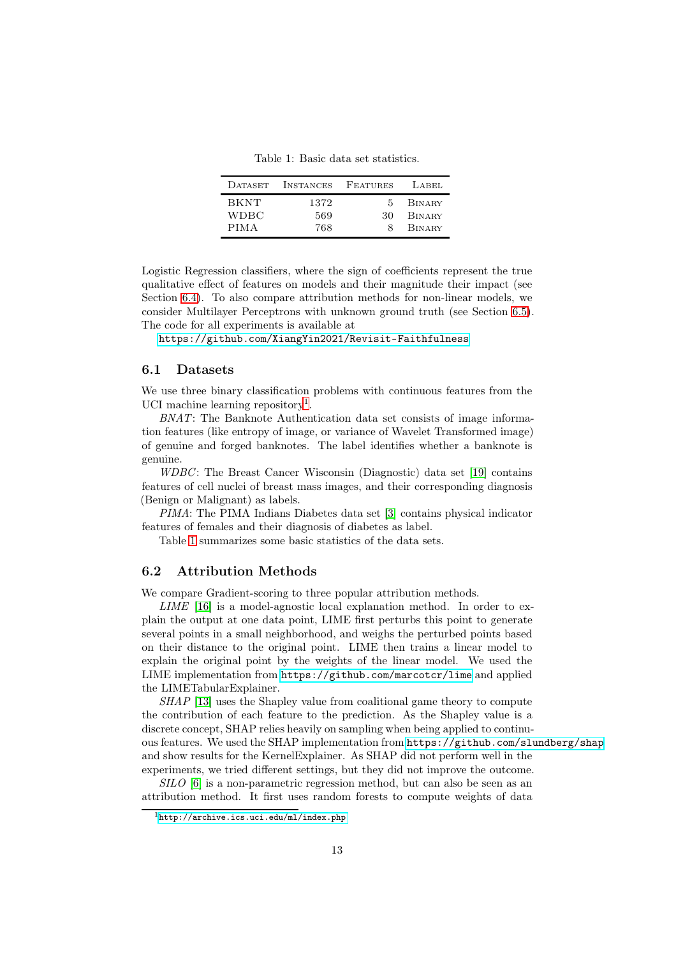<span id="page-12-3"></span>Table 1: Basic data set statistics.

| DATASET                            | INSTANCES          | FEATURES | LABEL                                           |
|------------------------------------|--------------------|----------|-------------------------------------------------|
| <b>BKNT</b><br>WDBC<br><b>PIMA</b> | 1372<br>569<br>768 | 5.<br>30 | <b>BINARY</b><br><b>BINARY</b><br><b>BINARY</b> |

Logistic Regression classifiers, where the sign of coefficients represent the true qualitative effect of features on models and their magnitude their impact (see Section [6.4\)](#page-13-0). To also compare attribution methods for non-linear models, we consider Multilayer Perceptrons with unknown ground truth (see Section [6.5\)](#page-15-0). The code for all experiments is available at

<https://github.com/XiangYin2021/Revisit-Faithfulness>

#### <span id="page-12-1"></span>6.1 Datasets

We use three binary classification problems with continuous features from the UCI machine learning repository<sup>[1](#page-12-2)</sup>.

BNAT: The Banknote Authentication data set consists of image information features (like entropy of image, or variance of Wavelet Transformed image) of genuine and forged banknotes. The label identifies whether a banknote is genuine.

WDBC: The Breast Cancer Wisconsin (Diagnostic) data set [\[19\]](#page-20-7) contains features of cell nuclei of breast mass images, and their corresponding diagnosis (Benign or Malignant) as labels.

PIMA: The PIMA Indians Diabetes data set [\[3\]](#page-18-2) contains physical indicator features of females and their diagnosis of diabetes as label.

Table [1](#page-12-3) summarizes some basic statistics of the data sets.

#### <span id="page-12-0"></span>6.2 Attribution Methods

We compare Gradient-scoring to three popular attribution methods.

LIME [\[16\]](#page-19-1) is a model-agnostic local explanation method. In order to explain the output at one data point, LIME first perturbs this point to generate several points in a small neighborhood, and weighs the perturbed points based on their distance to the original point. LIME then trains a linear model to explain the original point by the weights of the linear model. We used the LIME implementation from <https://github.com/marcotcr/lime> and applied the LIMETabularExplainer.

SHAP [\[13\]](#page-19-11) uses the Shapley value from coalitional game theory to compute the contribution of each feature to the prediction. As the Shapley value is a discrete concept, SHAP relies heavily on sampling when being applied to continuous features. We used the SHAP implementation from <https://github.com/slundberg/shap> and show results for the KernelExplainer. As SHAP did not perform well in the experiments, we tried different settings, but they did not improve the outcome.

SILO [\[6\]](#page-19-3) is a non-parametric regression method, but can also be seen as an attribution method. It first uses random forests to compute weights of data

<span id="page-12-2"></span> $1$ <http://archive.ics.uci.edu/ml/index.php>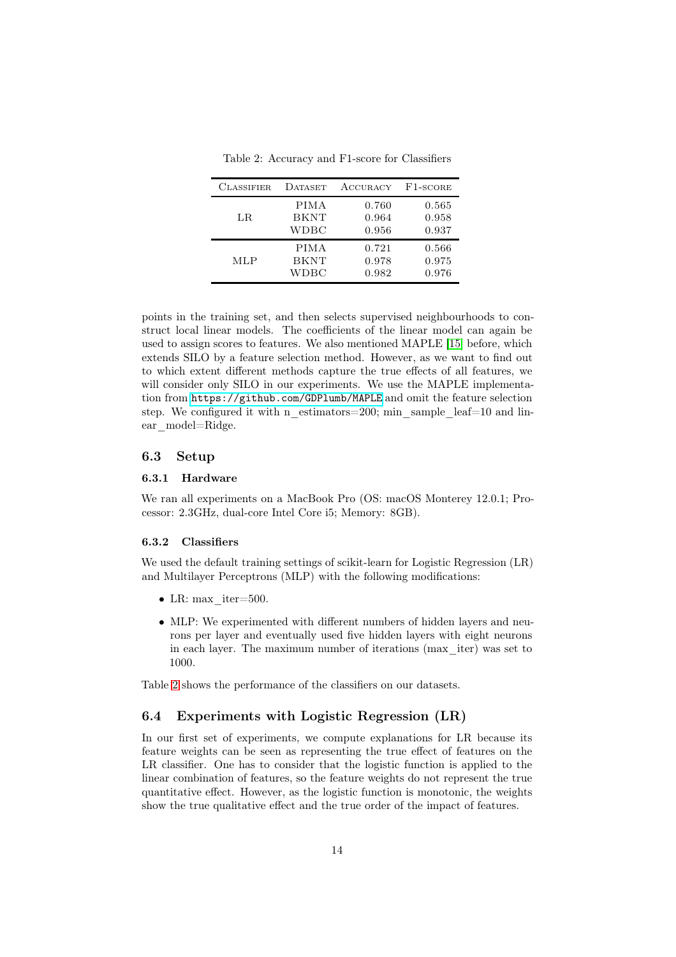Classifier Dataset Accuracy F1-score PIMA 0.760 0.565 LR BKNT 0.964 0.958 WDBC 0.956 0.937 PIMA 0.721 0.566 MLP BKNT 0.978 0.975 WDBC 0.982 0.976

<span id="page-13-1"></span>Table 2: Accuracy and F1-score for Classifiers

points in the training set, and then selects supervised neighbourhoods to construct local linear models. The coefficients of the linear model can again be used to assign scores to features. We also mentioned MAPLE [\[15\]](#page-19-4) before, which extends SILO by a feature selection method. However, as we want to find out to which extent different methods capture the true effects of all features, we will consider only SILO in our experiments. We use the MAPLE implementation from <https://github.com/GDPlumb/MAPLE> and omit the feature selection step. We configured it with n\_estimators=200; min\_sample\_leaf=10 and linear\_model=Ridge.

#### 6.3 Setup

#### 6.3.1 Hardware

We ran all experiments on a MacBook Pro (OS: macOS Monterey 12.0.1; Processor: 2.3GHz, dual-core Intel Core i5; Memory: 8GB).

#### 6.3.2 Classifiers

We used the default training settings of scikit-learn for Logistic Regression (LR) and Multilayer Perceptrons (MLP) with the following modifications:

- LR: max  $iter=500$ .
- MLP: We experimented with different numbers of hidden layers and neurons per layer and eventually used five hidden layers with eight neurons in each layer. The maximum number of iterations (max\_iter) was set to 1000.

Table [2](#page-13-1) shows the performance of the classifiers on our datasets.

#### <span id="page-13-0"></span>6.4 Experiments with Logistic Regression (LR)

In our first set of experiments, we compute explanations for LR because its feature weights can be seen as representing the true effect of features on the LR classifier. One has to consider that the logistic function is applied to the linear combination of features, so the feature weights do not represent the true quantitative effect. However, as the logistic function is monotonic, the weights show the true qualitative effect and the true order of the impact of features.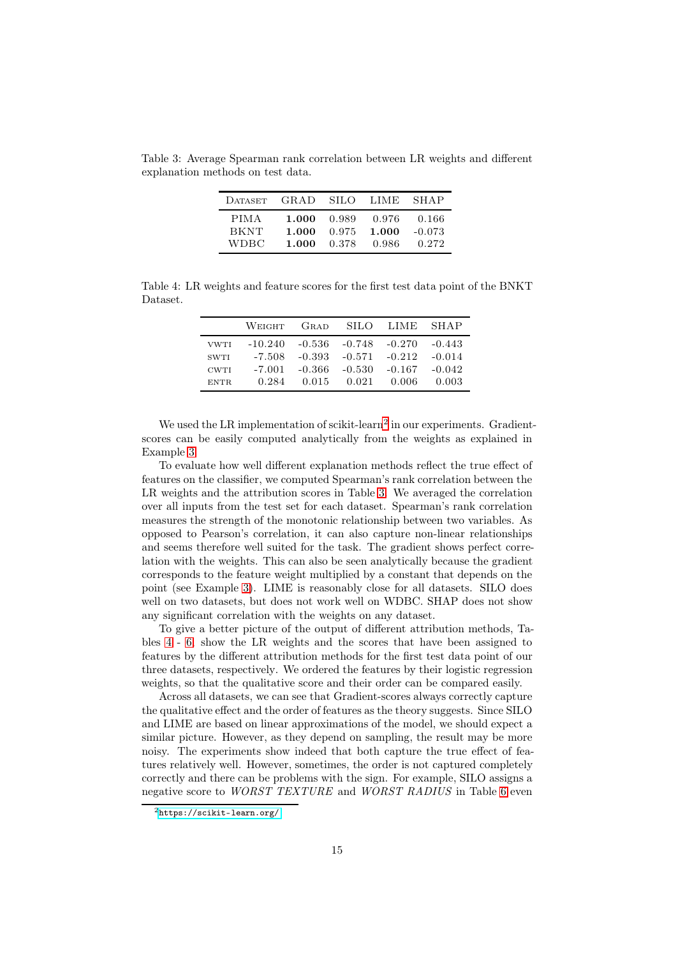Table 3: Average Spearman rank correlation between LR weights and different explanation methods on test data.

<span id="page-14-1"></span>

| <b>DATASET</b> | GRAD. |       | -SILO - LIME - | SHAP     |
|----------------|-------|-------|----------------|----------|
| <b>PIMA</b>    | 1.000 | 0.989 | 0.976          | 0.166    |
| <b>BKNT</b>    | 1.000 | 0.975 | 1.000          | $-0.073$ |
| WDBC.          | 1.000 | 0.378 | 0.986          | 0.272    |

Table 4: LR weights and feature scores for the first test data point of the BNKT Dataset.

<span id="page-14-2"></span>

|             | WEIGHT    | GRAD             |       | SILO LIME SHAP                      |          |
|-------------|-----------|------------------|-------|-------------------------------------|----------|
| <b>VWTI</b> | $-10.240$ |                  |       | $-0.536$ $-0.748$ $-0.270$ $-0.443$ |          |
| <b>SWTI</b> | -7.508    | $-0.393 - 0.571$ |       | $-0.212$                            | $-0.014$ |
| <b>CWTI</b> | $-7.001$  | $-0.366 - 0.530$ |       | $-0.167$                            | $-0.042$ |
| ENTR.       | 0.284     | 0.015            | 0.021 | 0.006                               | 0.003    |

We used the LR implementation of scikit-learn<sup>[2](#page-14-0)</sup> in our experiments. Gradientscores can be easily computed analytically from the weights as explained in Example [3.](#page-8-1)

To evaluate how well different explanation methods reflect the true effect of features on the classifier, we computed Spearman's rank correlation between the LR weights and the attribution scores in Table [3.](#page-14-1) We averaged the correlation over all inputs from the test set for each dataset. Spearman's rank correlation measures the strength of the monotonic relationship between two variables. As opposed to Pearson's correlation, it can also capture non-linear relationships and seems therefore well suited for the task. The gradient shows perfect correlation with the weights. This can also be seen analytically because the gradient corresponds to the feature weight multiplied by a constant that depends on the point (see Example [3\)](#page-8-1). LIME is reasonably close for all datasets. SILO does well on two datasets, but does not work well on WDBC. SHAP does not show any significant correlation with the weights on any dataset.

To give a better picture of the output of different attribution methods, Tables [4](#page-14-2) - [6,](#page-16-0) show the LR weights and the scores that have been assigned to features by the different attribution methods for the first test data point of our three datasets, respectively. We ordered the features by their logistic regression weights, so that the qualitative score and their order can be compared easily.

Across all datasets, we can see that Gradient-scores always correctly capture the qualitative effect and the order of features as the theory suggests. Since SILO and LIME are based on linear approximations of the model, we should expect a similar picture. However, as they depend on sampling, the result may be more noisy. The experiments show indeed that both capture the true effect of features relatively well. However, sometimes, the order is not captured completely correctly and there can be problems with the sign. For example, SILO assigns a negative score to WORST TEXTURE and WORST RADIUS in Table [6](#page-16-0) even

<span id="page-14-0"></span><sup>2</sup><https://scikit-learn.org/>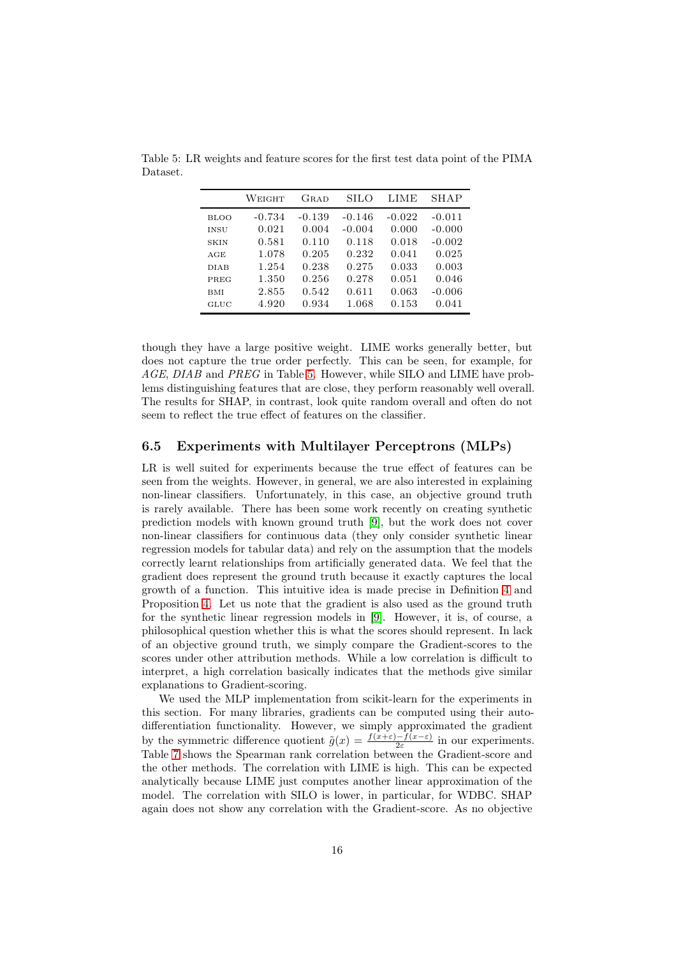<span id="page-15-1"></span>

|             | Weight   | GRAD     | SILO     | LIME     | SHAP     |
|-------------|----------|----------|----------|----------|----------|
| BLOO        | $-0.734$ | $-0.139$ | $-0.146$ | $-0.022$ | $-0.011$ |
| <b>INSU</b> | 0.021    | 0.004    | $-0.004$ | 0.000    | $-0.000$ |
| <b>SKIN</b> | 0.581    | 0.110    | 0.118    | 0.018    | $-0.002$ |
| AGE         | 1.078    | 0.205    | 0.232    | 0.041    | 0.025    |
| <b>DIAB</b> | 1.254    | 0.238    | 0.275    | 0.033    | 0.003    |
| PREG        | 1.350    | 0.256    | 0.278    | 0.051    | 0.046    |
| <b>BMI</b>  | 2.855    | 0.542    | 0.611    | 0.063    | $-0.006$ |
| GLUC        | 4.920    | 0.934    | 1.068    | 0.153    | 0.041    |

Table 5: LR weights and feature scores for the first test data point of the PIMA Dataset.

though they have a large positive weight. LIME works generally better, but does not capture the true order perfectly. This can be seen, for example, for AGE, DIAB and PREG in Table [5.](#page-15-1) However, while SILO and LIME have problems distinguishing features that are close, they perform reasonably well overall. The results for SHAP, in contrast, look quite random overall and often do not seem to reflect the true effect of features on the classifier.

#### <span id="page-15-0"></span>6.5 Experiments with Multilayer Perceptrons (MLPs)

LR is well suited for experiments because the true effect of features can be seen from the weights. However, in general, we are also interested in explaining non-linear classifiers. Unfortunately, in this case, an objective ground truth is rarely available. There has been some work recently on creating synthetic prediction models with known ground truth [\[9\]](#page-19-12), but the work does not cover non-linear classifiers for continuous data (they only consider synthetic linear regression models for tabular data) and rely on the assumption that the models correctly learnt relationships from artificially generated data. We feel that the gradient does represent the ground truth because it exactly captures the local growth of a function. This intuitive idea is made precise in Definition [4](#page-10-3) and Proposition [4.](#page-10-0) Let us note that the gradient is also used as the ground truth for the synthetic linear regression models in [\[9\]](#page-19-12). However, it is, of course, a philosophical question whether this is what the scores should represent. In lack of an objective ground truth, we simply compare the Gradient-scores to the scores under other attribution methods. While a low correlation is difficult to interpret, a high correlation basically indicates that the methods give similar explanations to Gradient-scoring.

We used the MLP implementation from scikit-learn for the experiments in this section. For many libraries, gradients can be computed using their autodifferentiation functionality. However, we simply approximated the gradient by the symmetric difference quotient  $\tilde{g}(x) = \frac{f(x+\varepsilon) - f(x-\varepsilon)}{2\varepsilon}$  in our experiments. Table [7](#page-17-0) shows the Spearman rank correlation between the Gradient-score and the other methods. The correlation with LIME is high. This can be expected analytically because LIME just computes another linear approximation of the model. The correlation with SILO is lower, in particular, for WDBC. SHAP again does not show any correlation with the Gradient-score. As no objective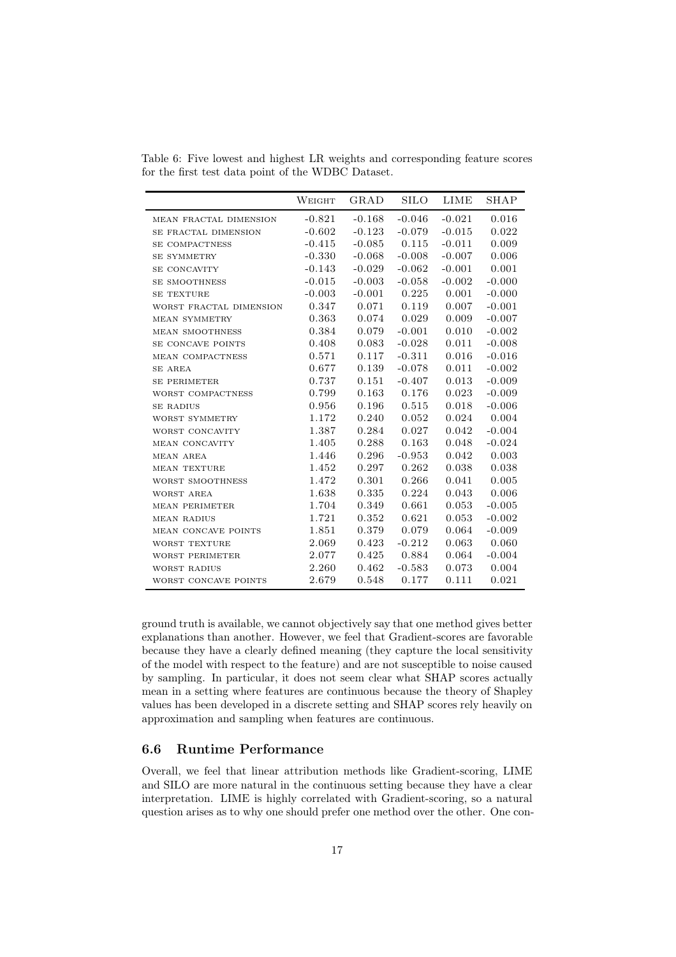<span id="page-16-0"></span>Table 6: Five lowest and highest LR weights and corresponding feature scores for the first test data point of the WDBC Dataset.

|                         | WEIGHT   | GRAD     | <b>SILO</b> | <b>LIME</b> | <b>SHAP</b> |
|-------------------------|----------|----------|-------------|-------------|-------------|
| MEAN FRACTAL DIMENSION  | $-0.821$ | $-0.168$ | $-0.046$    | $-0.021$    | 0.016       |
| SE FRACTAL DIMENSION    | $-0.602$ | $-0.123$ | $-0.079$    | $-0.015$    | 0.022       |
| SE COMPACTNESS          | $-0.415$ | $-0.085$ | 0.115       | $-0.011$    | 0.009       |
| <b>SE SYMMETRY</b>      | $-0.330$ | $-0.068$ | $-0.008$    | $-0.007$    | 0.006       |
| SE CONCAVITY            | $-0.143$ | $-0.029$ | $-0.062$    | $-0.001$    | 0.001       |
| <b>SE SMOOTHNESS</b>    | $-0.015$ | $-0.003$ | $-0.058$    | $-0.002$    | $-0.000$    |
| <b>SE TEXTURE</b>       | $-0.003$ | $-0.001$ | 0.225       | 0.001       | $-0.000$    |
| WORST FRACTAL DIMENSION | 0.347    | 0.071    | 0.119       | 0.007       | $-0.001$    |
| <b>MEAN SYMMETRY</b>    | 0.363    | 0.074    | 0.029       | 0.009       | $-0.007$    |
| <b>MEAN SMOOTHNESS</b>  | 0.384    | 0.079    | $-0.001$    | 0.010       | $-0.002$    |
| SE CONCAVE POINTS       | 0.408    | 0.083    | $-0.028$    | 0.011       | $-0.008$    |
| MEAN COMPACTNESS        | 0.571    | 0.117    | $-0.311$    | 0.016       | $-0.016$    |
| SE AREA                 | 0.677    | 0.139    | $-0.078$    | 0.011       | $-0.002$    |
| <b>SE PERIMETER</b>     | 0.737    | 0.151    | $-0.407$    | 0.013       | $-0.009$    |
| WORST COMPACTNESS       | 0.799    | 0.163    | 0.176       | 0.023       | $-0.009$    |
| <b>SE RADIUS</b>        | 0.956    | 0.196    | 0.515       | 0.018       | $-0.006$    |
| WORST SYMMETRY          | 1.172    | 0.240    | 0.052       | 0.024       | 0.004       |
| WORST CONCAVITY         | 1.387    | 0.284    | 0.027       | 0.042       | $-0.004$    |
| MEAN CONCAVITY          | 1.405    | 0.288    | 0.163       | 0.048       | $-0.024$    |
| MEAN AREA               | 1.446    | 0.296    | $-0.953$    | 0.042       | 0.003       |
| <b>MEAN TEXTURE</b>     | 1.452    | 0.297    | 0.262       | 0.038       | 0.038       |
| WORST SMOOTHNESS        | 1.472    | 0.301    | 0.266       | 0.041       | 0.005       |
| WORST AREA              | 1.638    | 0.335    | 0.224       | 0.043       | 0.006       |
| <b>MEAN PERIMETER</b>   | 1.704    | 0.349    | 0.661       | 0.053       | $-0.005$    |
| <b>MEAN RADIUS</b>      | 1.721    | 0.352    | 0.621       | 0.053       | $-0.002$    |
| MEAN CONCAVE POINTS     | 1.851    | 0.379    | 0.079       | 0.064       | $-0.009$    |
| WORST TEXTURE           | 2.069    | 0.423    | $-0.212$    | 0.063       | 0.060       |
| <b>WORST PERIMETER</b>  | 2.077    | 0.425    | 0.884       | 0.064       | $-0.004$    |
| WORST RADIUS            | 2.260    | 0.462    | $-0.583$    | 0.073       | 0.004       |
| WORST CONCAVE POINTS    | 2.679    | 0.548    | 0.177       | 0.111       | 0.021       |

ground truth is available, we cannot objectively say that one method gives better explanations than another. However, we feel that Gradient-scores are favorable because they have a clearly defined meaning (they capture the local sensitivity of the model with respect to the feature) and are not susceptible to noise caused by sampling. In particular, it does not seem clear what SHAP scores actually mean in a setting where features are continuous because the theory of Shapley values has been developed in a discrete setting and SHAP scores rely heavily on approximation and sampling when features are continuous.

#### 6.6 Runtime Performance

Overall, we feel that linear attribution methods like Gradient-scoring, LIME and SILO are more natural in the continuous setting because they have a clear interpretation. LIME is highly correlated with Gradient-scoring, so a natural question arises as to why one should prefer one method over the other. One con-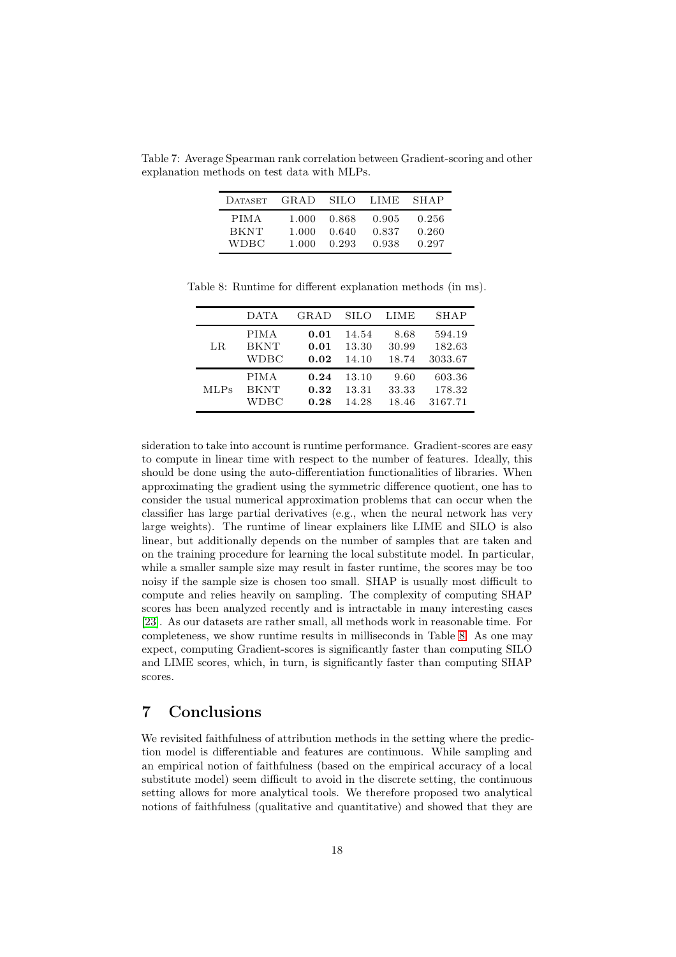Table 7: Average Spearman rank correlation between Gradient-scoring and other explanation methods on test data with MLPs.

<span id="page-17-0"></span>

| DATASET     | GRAD. | -SILO- | LIME  | <b>SHAP</b> |
|-------------|-------|--------|-------|-------------|
| PIMA.       | 1.000 | 0.868  | 0.905 | 0.256       |
| <b>BKNT</b> | 1.000 | 0.640  | 0.837 | 0.260       |
| WDBC.       | 1.000 | 0.293  | 0.938 | 0.297       |

Table 8: Runtime for different explanation methods (in ms).

<span id="page-17-1"></span>

|             | <b>DATA</b> | GRAD | <b>SILO</b> | LIME  | SHAP    |
|-------------|-------------|------|-------------|-------|---------|
| LR          | <b>PIMA</b> | 0.01 | 14.54       | 8.68  | 594.19  |
|             | <b>BKNT</b> | 0.01 | 13.30       | 30.99 | 182.63  |
|             | WDBC        | 0.02 | 14.10       | 18.74 | 3033.67 |
| <b>MLPs</b> | <b>PIMA</b> | 0.24 | 13.10       | 9.60  | 603.36  |
|             | <b>BKNT</b> | 0.32 | 13.31       | 33.33 | 178.32  |
|             | WDBC        | 0.28 | 14.28       | 18.46 | 3167.71 |

sideration to take into account is runtime performance. Gradient-scores are easy to compute in linear time with respect to the number of features. Ideally, this should be done using the auto-differentiation functionalities of libraries. When approximating the gradient using the symmetric difference quotient, one has to consider the usual numerical approximation problems that can occur when the classifier has large partial derivatives (e.g., when the neural network has very large weights). The runtime of linear explainers like LIME and SILO is also linear, but additionally depends on the number of samples that are taken and on the training procedure for learning the local substitute model. In particular, while a smaller sample size may result in faster runtime, the scores may be too noisy if the sample size is chosen too small. SHAP is usually most difficult to compute and relies heavily on sampling. The complexity of computing SHAP scores has been analyzed recently and is intractable in many interesting cases [\[23\]](#page-20-8). As our datasets are rather small, all methods work in reasonable time. For completeness, we show runtime results in milliseconds in Table [8.](#page-17-1) As one may expect, computing Gradient-scores is significantly faster than computing SILO and LIME scores, which, in turn, is significantly faster than computing SHAP scores.

## 7 Conclusions

We revisited faithfulness of attribution methods in the setting where the prediction model is differentiable and features are continuous. While sampling and an empirical notion of faithfulness (based on the empirical accuracy of a local substitute model) seem difficult to avoid in the discrete setting, the continuous setting allows for more analytical tools. We therefore proposed two analytical notions of faithfulness (qualitative and quantitative) and showed that they are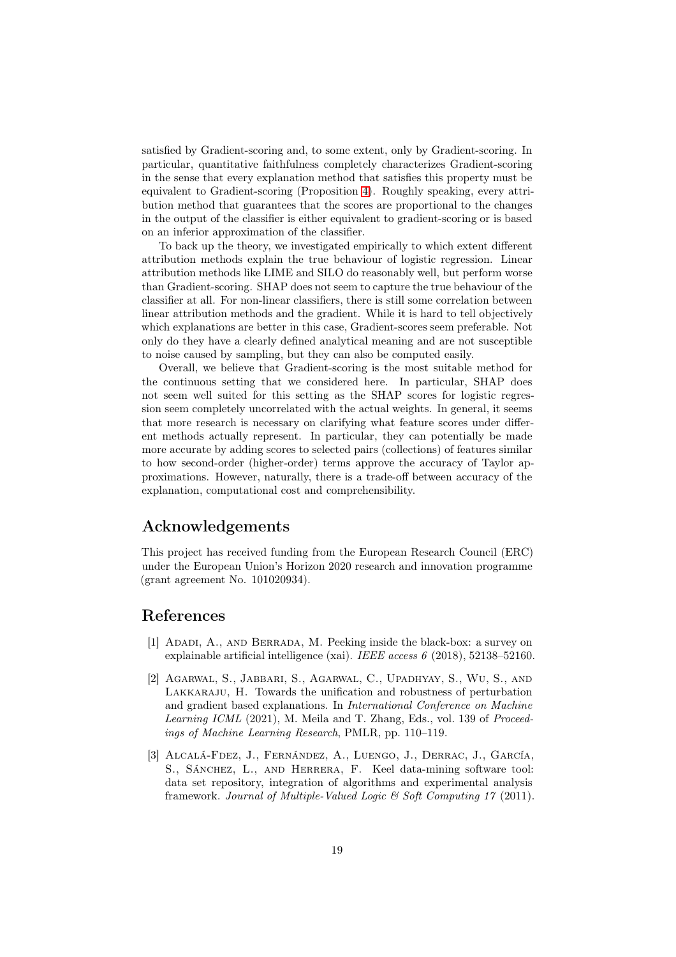satisfied by Gradient-scoring and, to some extent, only by Gradient-scoring. In particular, quantitative faithfulness completely characterizes Gradient-scoring in the sense that every explanation method that satisfies this property must be equivalent to Gradient-scoring (Proposition [4\)](#page-10-0). Roughly speaking, every attribution method that guarantees that the scores are proportional to the changes in the output of the classifier is either equivalent to gradient-scoring or is based on an inferior approximation of the classifier.

To back up the theory, we investigated empirically to which extent different attribution methods explain the true behaviour of logistic regression. Linear attribution methods like LIME and SILO do reasonably well, but perform worse than Gradient-scoring. SHAP does not seem to capture the true behaviour of the classifier at all. For non-linear classifiers, there is still some correlation between linear attribution methods and the gradient. While it is hard to tell objectively which explanations are better in this case, Gradient-scores seem preferable. Not only do they have a clearly defined analytical meaning and are not susceptible to noise caused by sampling, but they can also be computed easily.

Overall, we believe that Gradient-scoring is the most suitable method for the continuous setting that we considered here. In particular, SHAP does not seem well suited for this setting as the SHAP scores for logistic regression seem completely uncorrelated with the actual weights. In general, it seems that more research is necessary on clarifying what feature scores under different methods actually represent. In particular, they can potentially be made more accurate by adding scores to selected pairs (collections) of features similar to how second-order (higher-order) terms approve the accuracy of Taylor approximations. However, naturally, there is a trade-off between accuracy of the explanation, computational cost and comprehensibility.

# Acknowledgements

This project has received funding from the European Research Council (ERC) under the European Union's Horizon 2020 research and innovation programme (grant agreement No. 101020934).

# <span id="page-18-0"></span>References

- [1] Adadi, A., and Berrada, M. Peeking inside the black-box: a survey on explainable artificial intelligence (xai). IEEE access 6 (2018), 52138–52160.
- <span id="page-18-1"></span>[2] Agarwal, S., Jabbari, S., Agarwal, C., Upadhyay, S., Wu, S., and Lakkaraju, H. Towards the unification and robustness of perturbation and gradient based explanations. In International Conference on Machine Learning ICML (2021), M. Meila and T. Zhang, Eds., vol. 139 of Proceedings of Machine Learning Research, PMLR, pp. 110–119.
- <span id="page-18-2"></span>[3] Alcalá-Fdez, J., Fernández, A., Luengo, J., Derrac, J., García, S., SÁNCHEZ, L., AND HERRERA, F. Keel data-mining software tool: data set repository, integration of algorithms and experimental analysis framework. Journal of Multiple-Valued Logic & Soft Computing 17 (2011).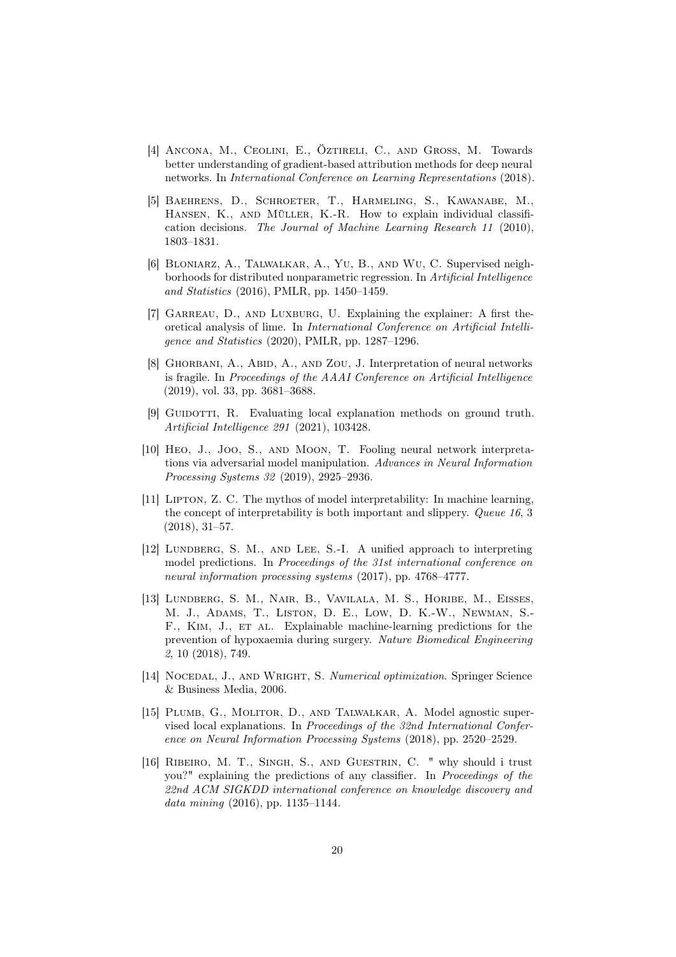- <span id="page-19-9"></span>[4] Ancona, M., Ceolini, E., Öztireli, C., and Gross, M. Towards better understanding of gradient-based attribution methods for deep neural networks. In International Conference on Learning Representations (2018).
- <span id="page-19-5"></span>[5] Baehrens, D., Schroeter, T., Harmeling, S., Kawanabe, M., HANSEN, K., AND MÜLLER, K.-R. How to explain individual classification decisions. The Journal of Machine Learning Research 11 (2010), 1803–1831.
- <span id="page-19-3"></span>[6] Bloniarz, A., Talwalkar, A., Yu, B., and Wu, C. Supervised neighborhoods for distributed nonparametric regression. In Artificial Intelligence and Statistics (2016), PMLR, pp. 1450–1459.
- <span id="page-19-8"></span>[7] GARREAU, D., AND LUXBURG, U. Explaining the explainer: A first theoretical analysis of lime. In International Conference on Artificial Intelligence and Statistics (2020), PMLR, pp. 1287–1296.
- <span id="page-19-7"></span>[8] GHORBANI, A., ABID, A., AND ZOU, J. Interpretation of neural networks is fragile. In Proceedings of the AAAI Conference on Artificial Intelligence (2019), vol. 33, pp. 3681–3688.
- <span id="page-19-12"></span>[9] GUIDOTTI, R. Evaluating local explanation methods on ground truth. Artificial Intelligence 291 (2021), 103428.
- <span id="page-19-6"></span>[10] Heo, J., Joo, S., and Moon, T. Fooling neural network interpretations via adversarial model manipulation. Advances in Neural Information Processing Systems 32 (2019), 2925–2936.
- <span id="page-19-0"></span>[11] Lipton, Z. C. The mythos of model interpretability: In machine learning, the concept of interpretability is both important and slippery. Queue 16, 3 (2018), 31–57.
- <span id="page-19-2"></span>[12] LUNDBERG, S. M., AND LEE, S.-I. A unified approach to interpreting model predictions. In Proceedings of the 31st international conference on neural information processing systems (2017), pp. 4768–4777.
- <span id="page-19-11"></span>[13] LUNDBERG, S. M., NAIR, B., VAVILALA, M. S., HORIBE, M., EISSES, M. J., Adams, T., Liston, D. E., Low, D. K.-W., Newman, S.- F., KIM, J., ET AL. Explainable machine-learning predictions for the prevention of hypoxaemia during surgery. Nature Biomedical Engineering 2, 10 (2018), 749.
- <span id="page-19-10"></span>[14] NOCEDAL, J., AND WRIGHT, S. Numerical optimization. Springer Science & Business Media, 2006.
- <span id="page-19-4"></span>[15] PLUMB, G., MOLITOR, D., AND TALWALKAR, A. Model agnostic supervised local explanations. In Proceedings of the 32nd International Conference on Neural Information Processing Systems (2018), pp. 2520–2529.
- <span id="page-19-1"></span>[16] Ribeiro, M. T., Singh, S., and Guestrin, C. " why should i trust you?" explaining the predictions of any classifier. In Proceedings of the 22nd ACM SIGKDD international conference on knowledge discovery and data mining (2016), pp. 1135–1144.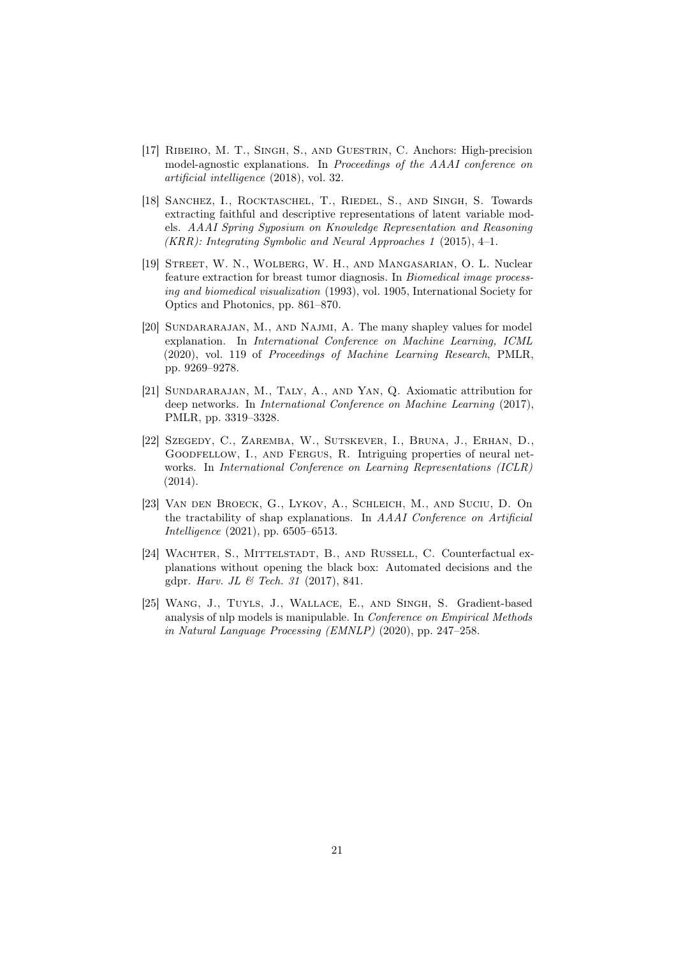- <span id="page-20-1"></span>[17] Ribeiro, M. T., Singh, S., and Guestrin, C. Anchors: High-precision model-agnostic explanations. In Proceedings of the AAAI conference on artificial intelligence (2018), vol. 32.
- <span id="page-20-5"></span>[18] Sanchez, I., Rocktaschel, T., Riedel, S., and Singh, S. Towards extracting faithful and descriptive representations of latent variable models. AAAI Spring Syposium on Knowledge Representation and Reasoning (KRR): Integrating Symbolic and Neural Approaches 1 (2015), 4–1.
- <span id="page-20-7"></span>[19] Street, W. N., Wolberg, W. H., and Mangasarian, O. L. Nuclear feature extraction for breast tumor diagnosis. In Biomedical image processing and biomedical visualization (1993), vol. 1905, International Society for Optics and Photonics, pp. 861–870.
- <span id="page-20-2"></span>[20] Sundararajan, M., and Najmi, A. The many shapley values for model explanation. In International Conference on Machine Learning, ICML (2020), vol. 119 of Proceedings of Machine Learning Research, PMLR, pp. 9269–9278.
- <span id="page-20-4"></span>[21] SUNDARARAJAN, M., TALY, A., AND YAN, Q. Axiomatic attribution for deep networks. In International Conference on Machine Learning (2017), PMLR, pp. 3319–3328.
- <span id="page-20-6"></span>[22] Szegedy, C., Zaremba, W., Sutskever, I., Bruna, J., Erhan, D., GOODFELLOW, I., AND FERGUS, R. Intriguing properties of neural networks. In International Conference on Learning Representations (ICLR) (2014).
- <span id="page-20-8"></span>[23] Van den Broeck, G., Lykov, A., Schleich, M., and Suciu, D. On the tractability of shap explanations. In AAAI Conference on Artificial Intelligence (2021), pp. 6505–6513.
- <span id="page-20-0"></span>[24] WACHTER, S., MITTELSTADT, B., AND RUSSELL, C. Counterfactual explanations without opening the black box: Automated decisions and the gdpr. Harv. JL & Tech. 31 (2017), 841.
- <span id="page-20-3"></span>[25] Wang, J., Tuyls, J., Wallace, E., and Singh, S. Gradient-based analysis of nlp models is manipulable. In Conference on Empirical Methods in Natural Language Processing (EMNLP) (2020), pp. 247–258.